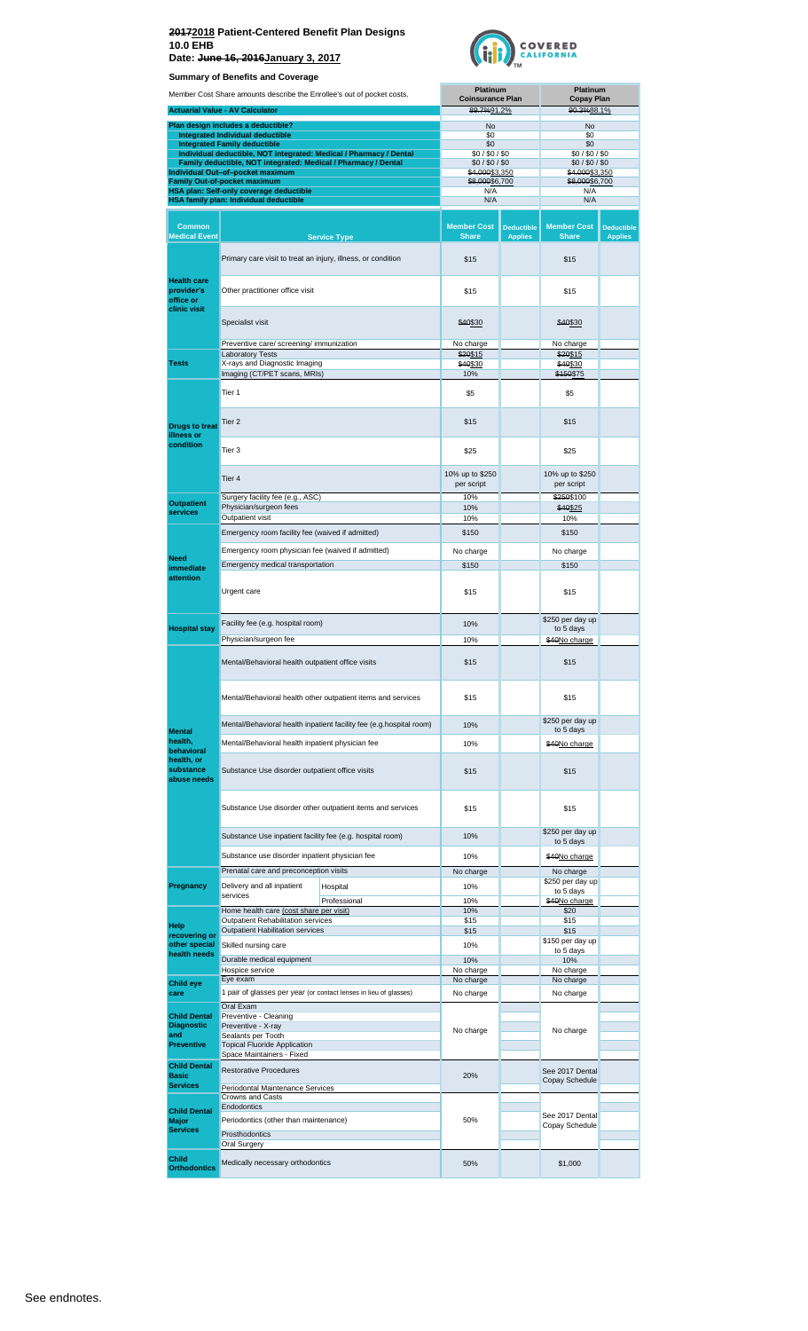**Date: June 16, 2016January 3, 2017**



|                                                      | <b>Summary of Benefits and Coverage</b>                                                                                              |                                                                     |                                            |                                     |                                    |                                     |  |
|------------------------------------------------------|--------------------------------------------------------------------------------------------------------------------------------------|---------------------------------------------------------------------|--------------------------------------------|-------------------------------------|------------------------------------|-------------------------------------|--|
|                                                      | Member Cost Share amounts describe the Enrollee's out of pocket costs.                                                               |                                                                     | <b>Platinum</b><br><b>Coinsurance Plan</b> |                                     |                                    | Platinum<br><b>Copay Plan</b>       |  |
|                                                      | <b>Actuarial Value - AV Calculator</b>                                                                                               |                                                                     | 89.7%91.2%                                 |                                     | 90.3%88.1%                         |                                     |  |
|                                                      | Plan design includes a deductible?<br>Integrated Individual deductible                                                               |                                                                     | No<br>\$0                                  |                                     | No<br>\$0                          |                                     |  |
|                                                      | <b>Integrated Family deductible</b>                                                                                                  |                                                                     | \$0                                        |                                     | \$0                                |                                     |  |
|                                                      | Individual deductible, NOT integrated: Medical / Pharmacy / Dental<br>Family deductible, NOT integrated: Medical / Pharmacy / Dental |                                                                     | \$0/\$0/\$0<br>\$0/\$0/\$0                 |                                     | \$0/\$0/\$0<br>\$0/\$0/\$0         |                                     |  |
|                                                      | Individual Out-of-pocket maximum                                                                                                     |                                                                     | \$4,000\$3,350                             |                                     | <del>\$4,000</del> \$3,350         |                                     |  |
|                                                      | <b>Family Out-of-pocket maximum</b><br>HSA plan: Self-only coverage deductible                                                       |                                                                     | \$8,000\$6,700<br>N/A                      |                                     | \$8,000\$6,700<br>N/A              |                                     |  |
|                                                      | HSA family plan: Individual deductible                                                                                               |                                                                     | N/A                                        |                                     | N/A                                |                                     |  |
| <b>Common</b><br><b>Medical Event</b>                |                                                                                                                                      | <b>Service Type</b>                                                 | <b>Member Cost</b><br><b>Share</b>         | <b>Deductible</b><br><b>Applies</b> | <b>Member Cost</b><br><b>Share</b> | <b>Deductible</b><br><b>Applies</b> |  |
|                                                      | Primary care visit to treat an injury, illness, or condition                                                                         |                                                                     | \$15                                       |                                     | \$15                               |                                     |  |
| <b>Health care</b><br>provider's                     | Other practitioner office visit                                                                                                      |                                                                     | \$15                                       |                                     | \$15                               |                                     |  |
| office or<br>clinic visit                            | Specialist visit                                                                                                                     |                                                                     | \$40\$30                                   |                                     | \$40\$30                           |                                     |  |
|                                                      |                                                                                                                                      |                                                                     |                                            |                                     |                                    |                                     |  |
|                                                      | Preventive care/ screening/ immunization<br><b>Laboratory Tests</b>                                                                  |                                                                     | No charge<br>\$20\$15                      |                                     | No charge<br>\$20\$15              |                                     |  |
| <b>Tests</b>                                         | X-rays and Diagnostic Imaging                                                                                                        |                                                                     | \$40\$30                                   |                                     | \$40\$30                           |                                     |  |
|                                                      | Imaging (CT/PET scans, MRIs)                                                                                                         |                                                                     | 10%                                        |                                     | \$150\$75                          |                                     |  |
|                                                      | Tier 1                                                                                                                               |                                                                     | \$5                                        |                                     | \$5                                |                                     |  |
| <b>Drugs to treat</b><br>illness or                  | Tier <sub>2</sub>                                                                                                                    |                                                                     | \$15                                       |                                     | \$15                               |                                     |  |
| condition                                            | Tier 3                                                                                                                               |                                                                     | \$25                                       |                                     | \$25                               |                                     |  |
|                                                      | Tier 4                                                                                                                               |                                                                     | 10% up to \$250<br>per script              |                                     | 10% up to \$250<br>per script      |                                     |  |
| <b>Outpatient</b>                                    | Surgery facility fee (e.g., ASC)<br>Physician/surgeon fees                                                                           |                                                                     | 10%<br>10%                                 |                                     | \$250\$100<br>\$40\$25             |                                     |  |
| <b>services</b>                                      | Outpatient visit                                                                                                                     |                                                                     | 10%                                        |                                     | 10%                                |                                     |  |
|                                                      | Emergency room facility fee (waived if admitted)                                                                                     |                                                                     | \$150                                      |                                     | \$150                              |                                     |  |
|                                                      | Emergency room physician fee (waived if admitted)                                                                                    |                                                                     | No charge                                  |                                     | No charge                          |                                     |  |
| <b>Need</b><br>immediate                             | Emergency medical transportation                                                                                                     |                                                                     | \$150                                      |                                     | \$150                              |                                     |  |
| attention                                            | Urgent care                                                                                                                          |                                                                     | \$15                                       |                                     | \$15                               |                                     |  |
|                                                      | Facility fee (e.g. hospital room)                                                                                                    |                                                                     | 10%                                        |                                     | \$250 per day up                   |                                     |  |
| <b>Hospital stay</b>                                 | Physician/surgeon fee                                                                                                                |                                                                     | 10%                                        |                                     | to 5 days<br>\$40No charge         |                                     |  |
|                                                      | Mental/Behavioral health outpatient office visits                                                                                    | \$15                                                                |                                            | \$15                                |                                    |                                     |  |
|                                                      | Mental/Behavioral health other outpatient items and services                                                                         | \$15                                                                |                                            | \$15                                |                                    |                                     |  |
|                                                      |                                                                                                                                      | Mental/Behavioral health inpatient facility fee (e.g.hospital room) | 10%                                        |                                     | \$250 per day up                   |                                     |  |
| <b>Mental</b><br>health,                             | Mental/Behavioral health inpatient physician fee                                                                                     |                                                                     | 10%                                        |                                     | to 5 days<br>\$40No charge         |                                     |  |
| behavioral<br>health, or<br>substance<br>abuse needs | Substance Use disorder outpatient office visits                                                                                      | \$15                                                                |                                            | \$15                                |                                    |                                     |  |
|                                                      |                                                                                                                                      | Substance Use disorder other outpatient items and services          | \$15                                       |                                     | \$15                               |                                     |  |
|                                                      | Substance Use inpatient facility fee (e.g. hospital room)                                                                            |                                                                     |                                            |                                     | \$250 per day up                   |                                     |  |
|                                                      |                                                                                                                                      |                                                                     | 10%                                        |                                     | to 5 days                          |                                     |  |
|                                                      | Substance use disorder inpatient physician fee                                                                                       |                                                                     | 10%                                        |                                     | \$40No charge                      |                                     |  |
|                                                      | Prenatal care and preconception visits                                                                                               |                                                                     | No charge                                  |                                     | No charge<br>\$250 per day up      |                                     |  |
| Pregnancy                                            | Delivery and all inpatient<br>services                                                                                               | Hospital                                                            | 10%                                        |                                     | to 5 days                          |                                     |  |
|                                                      | Home health care (cost share per visit)                                                                                              | Professional                                                        | 10%<br>10%                                 |                                     | \$40No charge<br>\$20              |                                     |  |
| Help                                                 | Outpatient Rehabilitation services                                                                                                   |                                                                     | \$15                                       |                                     | \$15                               |                                     |  |
| recovering or<br>other special                       | <b>Outpatient Habilitation services</b><br>Skilled nursing care                                                                      |                                                                     | \$15<br>10%                                |                                     | \$15<br>\$150 per day up           |                                     |  |
| health needs                                         | Durable medical equipment                                                                                                            |                                                                     | 10%                                        |                                     | to 5 days<br>10%                   |                                     |  |
|                                                      | Hospice service                                                                                                                      |                                                                     | No charge                                  |                                     | No charge                          |                                     |  |
| <b>Child eye</b>                                     | Eye exam                                                                                                                             |                                                                     | No charge                                  |                                     | No charge                          |                                     |  |
| care                                                 | 1 pair of glasses per year (or contact lenses in lieu of glasses)<br>Oral Exam                                                       |                                                                     | No charge                                  |                                     | No charge                          |                                     |  |
| <b>Child Dental</b>                                  | Preventive - Cleaning                                                                                                                |                                                                     |                                            |                                     |                                    |                                     |  |
| <b>Diagnostic</b><br>and                             | Preventive - X-ray<br>Sealants per Tooth                                                                                             |                                                                     | No charge                                  |                                     | No charge                          |                                     |  |
| <b>Preventive</b>                                    | <b>Topical Fluoride Application</b>                                                                                                  |                                                                     |                                            |                                     |                                    |                                     |  |
| <b>Child Dental</b>                                  | Space Maintainers - Fixed                                                                                                            |                                                                     |                                            |                                     |                                    |                                     |  |
| <b>Basic</b>                                         | <b>Restorative Procedures</b>                                                                                                        |                                                                     | 20%                                        |                                     | See 2017 Dental<br>Copay Schedule  |                                     |  |
| <b>Services</b>                                      | Periodontal Maintenance Services<br>Crowns and Casts                                                                                 |                                                                     |                                            |                                     |                                    |                                     |  |
| <b>Child Dental</b>                                  | Endodontics                                                                                                                          |                                                                     |                                            |                                     |                                    |                                     |  |
| <b>Major</b>                                         | Periodontics (other than maintenance)                                                                                                |                                                                     | 50%                                        |                                     | See 2017 Dental<br>Copay Schedule  |                                     |  |
| <b>Services</b>                                      | <b>Prosthodontics</b>                                                                                                                |                                                                     |                                            |                                     |                                    |                                     |  |
| Child                                                | Oral Surgery                                                                                                                         |                                                                     |                                            |                                     |                                    |                                     |  |
| <b>Orthodontics</b>                                  | Medically necessary orthodontics                                                                                                     |                                                                     | 50%                                        |                                     | \$1,000                            |                                     |  |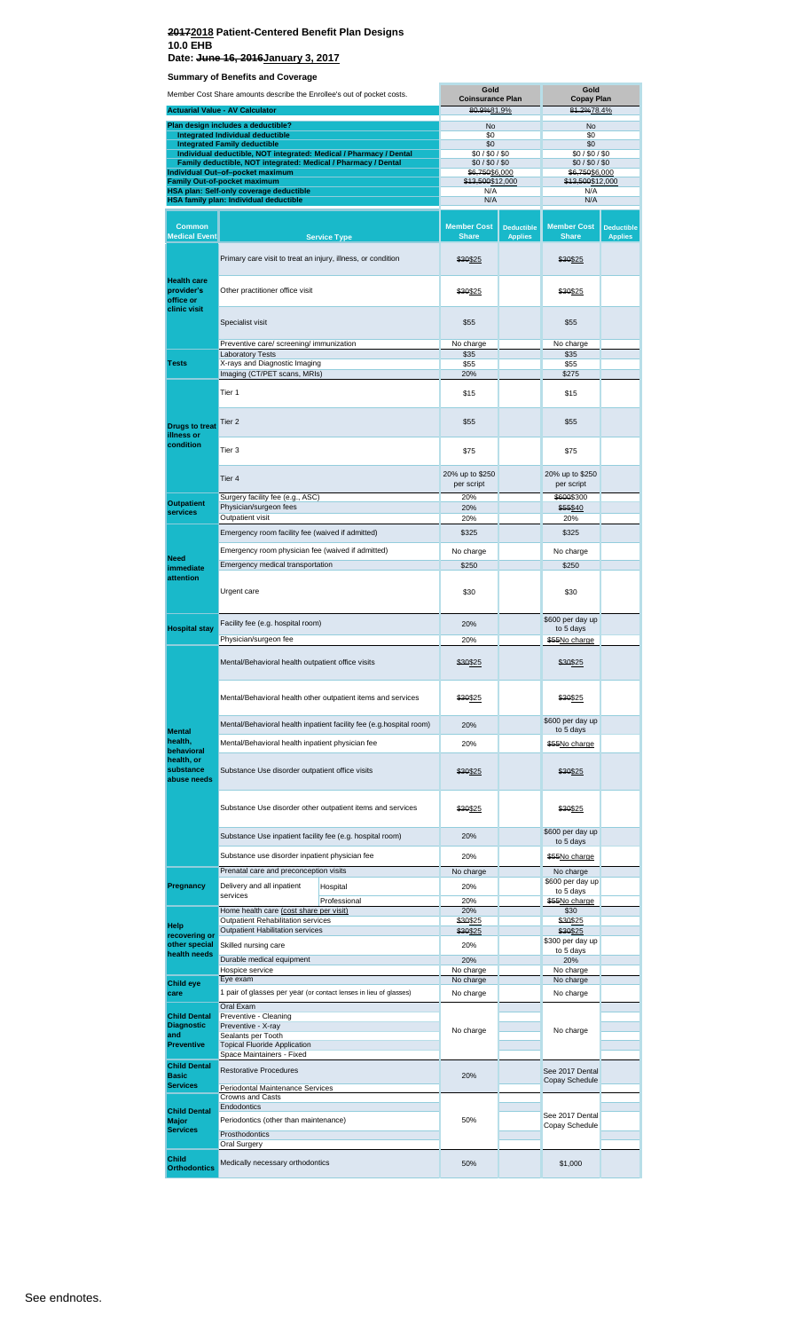**Date: June 16, 2016January 3, 2017**

| Member Cost Share amounts describe the Enrollee's out of pocket costs. |                                                                                                                                      | Gold<br><b>Coinsurance Plan</b>                                        |                               | Gold<br><b>Copay Plan</b>         |                                   |                   |
|------------------------------------------------------------------------|--------------------------------------------------------------------------------------------------------------------------------------|------------------------------------------------------------------------|-------------------------------|-----------------------------------|-----------------------------------|-------------------|
|                                                                        | <b>Actuarial Value - AV Calculator</b>                                                                                               |                                                                        | 80.9%81.9%                    |                                   | 81.2%78.4%                        |                   |
|                                                                        | Plan design includes a deductible?                                                                                                   |                                                                        | No                            |                                   | No                                |                   |
|                                                                        | Integrated Individual deductible<br><b>Integrated Family deductible</b>                                                              |                                                                        | \$0<br>\$0                    |                                   | \$0<br>\$0                        |                   |
|                                                                        | Individual deductible, NOT integrated: Medical / Pharmacy / Dental<br>Family deductible, NOT integrated: Medical / Pharmacy / Dental |                                                                        | \$0/\$0/\$0<br>\$0/\$0/\$0    |                                   | \$0/\$0/\$0<br>\$0/\$0/\$0        |                   |
|                                                                        | Individual Out-of-pocket maximum                                                                                                     |                                                                        | \$6,750\$6,000                |                                   | \$6,750\$6,000                    |                   |
|                                                                        | Family Out-of-pocket maximum<br>HSA plan: Self-only coverage deductible                                                              |                                                                        | \$13,500\$12,000<br>N/A       |                                   | \$13,500\$12,000<br>N/A           |                   |
|                                                                        | HSA family plan: Individual deductible                                                                                               |                                                                        | N/A                           |                                   | N/A                               |                   |
| <b>Common</b>                                                          |                                                                                                                                      |                                                                        | <b>Member Cost</b>            | <b>Deductible</b>                 | <b>Member Cost</b>                | <b>Deductible</b> |
| <b>Medical Event</b>                                                   |                                                                                                                                      | <b>Service Type</b>                                                    | <b>Share</b>                  | <b>Applies</b>                    | <b>Share</b>                      | <b>Applies</b>    |
|                                                                        | Primary care visit to treat an injury, illness, or condition                                                                         |                                                                        | \$30\$25                      |                                   | \$30\$25                          |                   |
| <b>Health care</b><br>provider's<br>office or<br>clinic visit          | Other practitioner office visit                                                                                                      |                                                                        | \$30\$25                      |                                   | \$30\$25                          |                   |
|                                                                        | Specialist visit                                                                                                                     |                                                                        | \$55                          |                                   | \$55                              |                   |
|                                                                        | Preventive care/ screening/ immunization<br><b>Laboratory Tests</b>                                                                  |                                                                        | No charge<br>\$35             |                                   | No charge<br>\$35                 |                   |
| <b>Tests</b>                                                           | X-rays and Diagnostic Imaging                                                                                                        |                                                                        | \$55                          |                                   | \$55                              |                   |
|                                                                        | Imaging (CT/PET scans, MRIs)                                                                                                         |                                                                        | 20%                           |                                   | \$275                             |                   |
|                                                                        | Tier 1                                                                                                                               |                                                                        | \$15                          |                                   | \$15                              |                   |
| <b>Drugs to treat</b><br>illness or                                    | Tier <sub>2</sub>                                                                                                                    |                                                                        | \$55                          |                                   | \$55                              |                   |
| condition                                                              | Tier 3                                                                                                                               |                                                                        | \$75                          |                                   | \$75                              |                   |
|                                                                        | Tier 4                                                                                                                               |                                                                        | 20% up to \$250<br>per script |                                   | 20% up to \$250<br>per script     |                   |
| <b>Outpatient</b>                                                      | Surgery facility fee (e.g., ASC)<br>Physician/surgeon fees                                                                           |                                                                        | 20%<br>20%                    |                                   | \$600\$300<br>\$55\$40            |                   |
| services                                                               | Outpatient visit                                                                                                                     |                                                                        | 20%                           |                                   | 20%                               |                   |
|                                                                        | Emergency room facility fee (waived if admitted)                                                                                     |                                                                        | \$325                         |                                   | \$325                             |                   |
| <b>Need</b>                                                            | Emergency room physician fee (waived if admitted)                                                                                    |                                                                        | No charge                     |                                   | No charge                         |                   |
| immediate                                                              | Emergency medical transportation                                                                                                     |                                                                        | \$250                         |                                   | \$250                             |                   |
| attention                                                              | Urgent care                                                                                                                          |                                                                        | \$30                          |                                   | \$30                              |                   |
|                                                                        | Facility fee (e.g. hospital room)                                                                                                    |                                                                        | 20%                           |                                   | \$600 per day up                  |                   |
| <b>Hospital stay</b>                                                   | Physician/surgeon fee                                                                                                                |                                                                        | 20%                           |                                   | to 5 days<br>\$55No charge        |                   |
|                                                                        | Mental/Behavioral health outpatient office visits                                                                                    |                                                                        | \$30\$25                      |                                   | \$30\$25                          |                   |
|                                                                        | Mental/Behavioral health other outpatient items and services                                                                         |                                                                        | \$30\$25                      |                                   | \$30\$25                          |                   |
|                                                                        | Mental/Behavioral health inpatient facility fee (e.g.hospital room)                                                                  | 20%                                                                    |                               | \$600 per day up                  |                                   |                   |
| <b>Mental</b><br>health.                                               | Mental/Behavioral health inpatient physician fee                                                                                     |                                                                        | 20%                           |                                   | to 5 days<br>\$55No charge        |                   |
| behavioral<br>health, or                                               |                                                                                                                                      |                                                                        |                               |                                   |                                   |                   |
| substance<br>abuse needs                                               | Substance Use disorder outpatient office visits                                                                                      |                                                                        | \$30\$25                      |                                   | \$30\$25                          |                   |
|                                                                        |                                                                                                                                      | Substance Use disorder other outpatient items and services<br>\$30\$25 |                               |                                   | \$30 <u>\$25</u>                  |                   |
|                                                                        | Substance Use inpatient facility fee (e.g. hospital room)                                                                            |                                                                        | 20%                           |                                   | \$600 per day up<br>to 5 days     |                   |
|                                                                        | Substance use disorder inpatient physician fee                                                                                       |                                                                        | 20%                           |                                   | \$55No charge                     |                   |
|                                                                        | Prenatal care and preconception visits                                                                                               |                                                                        | No charge                     |                                   | No charge                         |                   |
| Pregnancy                                                              | Delivery and all inpatient<br>services                                                                                               | Hospital                                                               | 20%                           |                                   | \$600 per day up<br>to 5 days     |                   |
|                                                                        | Home health care (cost share per visit)                                                                                              | Professional                                                           | 20%<br>20%                    |                                   | \$55No charge<br>\$30             |                   |
| Help                                                                   | Outpatient Rehabilitation services                                                                                                   |                                                                        | \$30\$25                      |                                   | \$30\$25                          |                   |
| recovering or                                                          | Outpatient Habilitation services                                                                                                     |                                                                        | \$30\$25                      |                                   | \$30\$25<br>\$300 per day up      |                   |
| other special<br>health needs                                          | Skilled nursing care                                                                                                                 |                                                                        | 20%                           |                                   | to 5 days                         |                   |
|                                                                        | Durable medical equipment<br>Hospice service                                                                                         |                                                                        | 20%<br>No charge              |                                   | 20%<br>No charge                  |                   |
| <b>Child eye</b>                                                       | Eye exam                                                                                                                             |                                                                        | No charge                     |                                   | No charge                         |                   |
| care                                                                   | 1 pair of glasses per year (or contact lenses in lieu of glasses)                                                                    |                                                                        | No charge                     |                                   | No charge                         |                   |
| <b>Child Dental</b>                                                    | Oral Exam<br>Preventive - Cleaning                                                                                                   |                                                                        |                               |                                   |                                   |                   |
| <b>Diagnostic</b><br>and<br><b>Preventive</b>                          | Preventive - X-ray<br>Sealants per Tooth<br><b>Topical Fluoride Application</b>                                                      |                                                                        | No charge                     |                                   | No charge                         |                   |
| <b>Child Dental</b>                                                    | Space Maintainers - Fixed                                                                                                            |                                                                        |                               |                                   |                                   |                   |
| <b>Basic</b>                                                           | <b>Restorative Procedures</b>                                                                                                        | 20%                                                                    |                               | See 2017 Dental<br>Copay Schedule |                                   |                   |
| <b>Services</b>                                                        | Periodontal Maintenance Services<br>Crowns and Casts                                                                                 |                                                                        |                               |                                   |                                   |                   |
| <b>Child Dental</b>                                                    | Endodontics                                                                                                                          |                                                                        |                               |                                   |                                   |                   |
| <b>Major</b>                                                           | Periodontics (other than maintenance)                                                                                                |                                                                        | 50%                           |                                   | See 2017 Dental<br>Copay Schedule |                   |
| <b>Services</b>                                                        | Prosthodontics                                                                                                                       |                                                                        |                               |                                   |                                   |                   |
| <b>Child</b>                                                           | Oral Surgery                                                                                                                         |                                                                        |                               |                                   |                                   |                   |
| <b>Orthodontics</b>                                                    | Medically necessary orthodontics                                                                                                     |                                                                        | 50%                           |                                   | \$1,000                           |                   |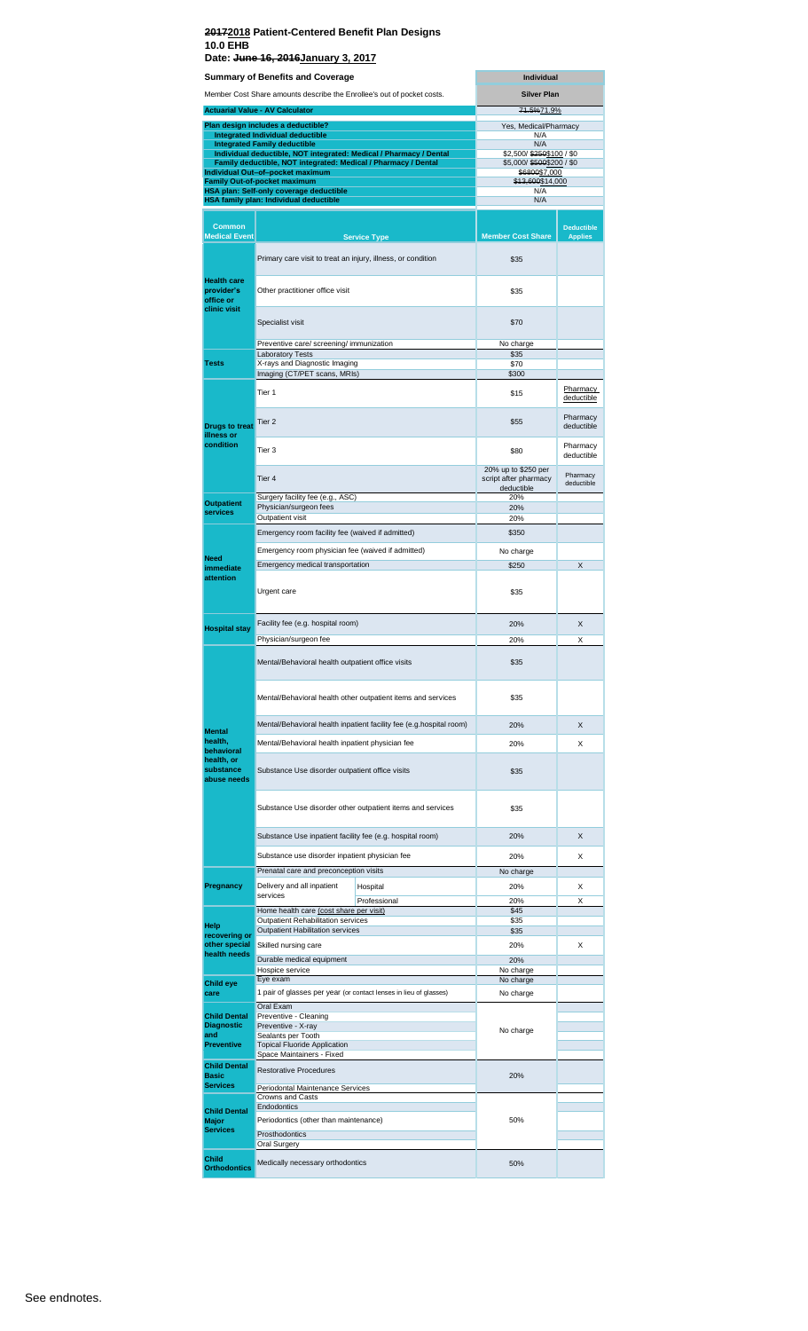### **20172018 Patient-Centered Benefit Plan Designs 10.0 EHB Date: June 16, 2016January 3, 2017**

| <b>Silver Plan</b><br>Member Cost Share amounts describe the Enrollee's out of pocket costs.<br>71.5%71.9%<br><b>Actuarial Value - AV Calculator</b><br>Plan design includes a deductible?<br>Yes, Medical/Pharmacy<br><b>Integrated Individual deductible</b><br>N/A<br><b>Integrated Family deductible</b><br>N/A<br>Individual deductible, NOT integrated: Medical / Pharmacy / Dental<br>\$2,500/\$250\$100 / \$0<br>Family deductible, NOT integrated: Medical / Pharmacy / Dental<br>\$5,000/\$500\$200 / \$0<br>Individual Out-of-pocket maximum<br>\$6800\$7,000<br>\$13,600\$14,000<br><b>Family Out-of-pocket maximum</b><br>HSA plan: Self-only coverage deductible<br>N/A<br>HSA family plan: Individual deductible<br>N/A<br>Common<br><b>Deductible</b><br><b>Medical Event</b><br><b>Member Cost Share</b><br><b>Applies</b><br><b>Service Type</b><br>Primary care visit to treat an injury, illness, or condition<br>\$35<br><b>Health care</b><br>provider's<br>Other practitioner office visit<br>\$35<br>office or<br>clinic visit<br>Specialist visit<br>\$70<br>Preventive care/ screening/ immunization<br>No charge<br><b>Laboratory Tests</b><br>\$35<br>X-rays and Diagnostic Imaging<br><b>Tests</b><br>\$70<br>Imaging (CT/PET scans, MRIs)<br>\$300<br><b>Pharmacy</b><br>Tier 1<br>\$15<br>deductible<br>Pharmacy<br>Tier 2<br>\$55<br><b>Drugs to treat</b><br>deductible<br>illness or<br>condition<br>Pharmacy<br>Tier 3<br>\$80<br>deductible<br>20% up to \$250 per<br>Pharmacy<br>Tier 4<br>script after pharmacy<br>deductible<br>deductible<br>Surgery facility fee (e.g., ASC)<br>20%<br><b>Outpatient</b><br>Physician/surgeon fees<br>20%<br><b>services</b><br>Outpatient visit<br>20%<br>Emergency room facility fee (waived if admitted)<br>\$350<br>Emergency room physician fee (waived if admitted)<br>No charge<br><b>Need</b><br>Emergency medical transportation<br>\$250<br>X<br>immediate<br>attention<br>Urgent care<br>\$35<br>Facility fee (e.g. hospital room)<br>20%<br>X<br><b>Hospital stay</b><br>Physician/surgeon fee<br>20%<br>X<br>Mental/Behavioral health outpatient office visits<br>\$35<br>Mental/Behavioral health other outpatient items and services<br>\$35<br>Mental/Behavioral health inpatient facility fee (e.g.hospital room)<br>20%<br>X<br><b>Mental</b><br>health.<br>Mental/Behavioral health inpatient physician fee<br>20%<br>X<br>behavioral<br>health, or<br>substance<br>Substance Use disorder outpatient office visits<br>\$35<br>abuse needs<br>Substance Use disorder other outpatient items and services<br>\$35<br>Substance Use inpatient facility fee (e.g. hospital room)<br>20%<br>X<br>Substance use disorder inpatient physician fee<br>20%<br>X<br>Prenatal care and preconception visits<br>No charge<br>Pregnancy<br>Delivery and all inpatient<br>X<br>Hospital<br>20%<br>services<br>Professional<br>20%<br>X<br>Home health care (cost share per visit)<br>\$45<br>Outpatient Rehabilitation services<br>\$35<br>Help<br><b>Outpatient Habilitation services</b><br>\$35<br>recovering or<br>other special<br>Skilled nursing care<br>20%<br>X<br>health needs<br>Durable medical equipment<br>20%<br>Hospice service<br>No charge<br>Eye exam<br>No charge<br>Child eye<br>1 pair of glasses per year (or contact lenses in lieu of glasses)<br>care<br>No charge<br>Oral Exam<br><b>Child Dental</b><br>Preventive - Cleaning<br><b>Diagnostic</b><br>Preventive - X-ray<br>No charge<br>and<br>Sealants per Tooth<br><b>Preventive</b><br><b>Topical Fluoride Application</b><br>Space Maintainers - Fixed<br><b>Child Dental</b><br><b>Restorative Procedures</b><br><b>Basic</b><br>20%<br><b>Services</b><br>Periodontal Maintenance Services<br>Crowns and Casts<br>Endodontics |                     | <b>Summary of Benefits and Coverage</b> | <b>Individual</b> |  |  |
|-------------------------------------------------------------------------------------------------------------------------------------------------------------------------------------------------------------------------------------------------------------------------------------------------------------------------------------------------------------------------------------------------------------------------------------------------------------------------------------------------------------------------------------------------------------------------------------------------------------------------------------------------------------------------------------------------------------------------------------------------------------------------------------------------------------------------------------------------------------------------------------------------------------------------------------------------------------------------------------------------------------------------------------------------------------------------------------------------------------------------------------------------------------------------------------------------------------------------------------------------------------------------------------------------------------------------------------------------------------------------------------------------------------------------------------------------------------------------------------------------------------------------------------------------------------------------------------------------------------------------------------------------------------------------------------------------------------------------------------------------------------------------------------------------------------------------------------------------------------------------------------------------------------------------------------------------------------------------------------------------------------------------------------------------------------------------------------------------------------------------------------------------------------------------------------------------------------------------------------------------------------------------------------------------------------------------------------------------------------------------------------------------------------------------------------------------------------------------------------------------------------------------------------------------------------------------------------------------------------------------------------------------------------------------------------------------------------------------------------------------------------------------------------------------------------------------------------------------------------------------------------------------------------------------------------------------------------------------------------------------------------------------------------------------------------------------------------------------------------------------------------------------------------------------------------------------------------------------------------------------------------------------------------------------------------------------------------------------------------------------------------------------------------------------------------------------------------------------------------------------------------------------------------------------------------------------------------------------------------------------------------------------------------------------------------------------------------------------------------------------------------------------------------------------|---------------------|-----------------------------------------|-------------------|--|--|
|                                                                                                                                                                                                                                                                                                                                                                                                                                                                                                                                                                                                                                                                                                                                                                                                                                                                                                                                                                                                                                                                                                                                                                                                                                                                                                                                                                                                                                                                                                                                                                                                                                                                                                                                                                                                                                                                                                                                                                                                                                                                                                                                                                                                                                                                                                                                                                                                                                                                                                                                                                                                                                                                                                                                                                                                                                                                                                                                                                                                                                                                                                                                                                                                                                                                                                                                                                                                                                                                                                                                                                                                                                                                                                                                                                                                 |                     |                                         |                   |  |  |
|                                                                                                                                                                                                                                                                                                                                                                                                                                                                                                                                                                                                                                                                                                                                                                                                                                                                                                                                                                                                                                                                                                                                                                                                                                                                                                                                                                                                                                                                                                                                                                                                                                                                                                                                                                                                                                                                                                                                                                                                                                                                                                                                                                                                                                                                                                                                                                                                                                                                                                                                                                                                                                                                                                                                                                                                                                                                                                                                                                                                                                                                                                                                                                                                                                                                                                                                                                                                                                                                                                                                                                                                                                                                                                                                                                                                 |                     |                                         |                   |  |  |
|                                                                                                                                                                                                                                                                                                                                                                                                                                                                                                                                                                                                                                                                                                                                                                                                                                                                                                                                                                                                                                                                                                                                                                                                                                                                                                                                                                                                                                                                                                                                                                                                                                                                                                                                                                                                                                                                                                                                                                                                                                                                                                                                                                                                                                                                                                                                                                                                                                                                                                                                                                                                                                                                                                                                                                                                                                                                                                                                                                                                                                                                                                                                                                                                                                                                                                                                                                                                                                                                                                                                                                                                                                                                                                                                                                                                 |                     |                                         |                   |  |  |
|                                                                                                                                                                                                                                                                                                                                                                                                                                                                                                                                                                                                                                                                                                                                                                                                                                                                                                                                                                                                                                                                                                                                                                                                                                                                                                                                                                                                                                                                                                                                                                                                                                                                                                                                                                                                                                                                                                                                                                                                                                                                                                                                                                                                                                                                                                                                                                                                                                                                                                                                                                                                                                                                                                                                                                                                                                                                                                                                                                                                                                                                                                                                                                                                                                                                                                                                                                                                                                                                                                                                                                                                                                                                                                                                                                                                 |                     |                                         |                   |  |  |
|                                                                                                                                                                                                                                                                                                                                                                                                                                                                                                                                                                                                                                                                                                                                                                                                                                                                                                                                                                                                                                                                                                                                                                                                                                                                                                                                                                                                                                                                                                                                                                                                                                                                                                                                                                                                                                                                                                                                                                                                                                                                                                                                                                                                                                                                                                                                                                                                                                                                                                                                                                                                                                                                                                                                                                                                                                                                                                                                                                                                                                                                                                                                                                                                                                                                                                                                                                                                                                                                                                                                                                                                                                                                                                                                                                                                 |                     |                                         |                   |  |  |
|                                                                                                                                                                                                                                                                                                                                                                                                                                                                                                                                                                                                                                                                                                                                                                                                                                                                                                                                                                                                                                                                                                                                                                                                                                                                                                                                                                                                                                                                                                                                                                                                                                                                                                                                                                                                                                                                                                                                                                                                                                                                                                                                                                                                                                                                                                                                                                                                                                                                                                                                                                                                                                                                                                                                                                                                                                                                                                                                                                                                                                                                                                                                                                                                                                                                                                                                                                                                                                                                                                                                                                                                                                                                                                                                                                                                 |                     |                                         |                   |  |  |
|                                                                                                                                                                                                                                                                                                                                                                                                                                                                                                                                                                                                                                                                                                                                                                                                                                                                                                                                                                                                                                                                                                                                                                                                                                                                                                                                                                                                                                                                                                                                                                                                                                                                                                                                                                                                                                                                                                                                                                                                                                                                                                                                                                                                                                                                                                                                                                                                                                                                                                                                                                                                                                                                                                                                                                                                                                                                                                                                                                                                                                                                                                                                                                                                                                                                                                                                                                                                                                                                                                                                                                                                                                                                                                                                                                                                 |                     |                                         |                   |  |  |
|                                                                                                                                                                                                                                                                                                                                                                                                                                                                                                                                                                                                                                                                                                                                                                                                                                                                                                                                                                                                                                                                                                                                                                                                                                                                                                                                                                                                                                                                                                                                                                                                                                                                                                                                                                                                                                                                                                                                                                                                                                                                                                                                                                                                                                                                                                                                                                                                                                                                                                                                                                                                                                                                                                                                                                                                                                                                                                                                                                                                                                                                                                                                                                                                                                                                                                                                                                                                                                                                                                                                                                                                                                                                                                                                                                                                 |                     |                                         |                   |  |  |
|                                                                                                                                                                                                                                                                                                                                                                                                                                                                                                                                                                                                                                                                                                                                                                                                                                                                                                                                                                                                                                                                                                                                                                                                                                                                                                                                                                                                                                                                                                                                                                                                                                                                                                                                                                                                                                                                                                                                                                                                                                                                                                                                                                                                                                                                                                                                                                                                                                                                                                                                                                                                                                                                                                                                                                                                                                                                                                                                                                                                                                                                                                                                                                                                                                                                                                                                                                                                                                                                                                                                                                                                                                                                                                                                                                                                 |                     |                                         |                   |  |  |
|                                                                                                                                                                                                                                                                                                                                                                                                                                                                                                                                                                                                                                                                                                                                                                                                                                                                                                                                                                                                                                                                                                                                                                                                                                                                                                                                                                                                                                                                                                                                                                                                                                                                                                                                                                                                                                                                                                                                                                                                                                                                                                                                                                                                                                                                                                                                                                                                                                                                                                                                                                                                                                                                                                                                                                                                                                                                                                                                                                                                                                                                                                                                                                                                                                                                                                                                                                                                                                                                                                                                                                                                                                                                                                                                                                                                 |                     |                                         |                   |  |  |
|                                                                                                                                                                                                                                                                                                                                                                                                                                                                                                                                                                                                                                                                                                                                                                                                                                                                                                                                                                                                                                                                                                                                                                                                                                                                                                                                                                                                                                                                                                                                                                                                                                                                                                                                                                                                                                                                                                                                                                                                                                                                                                                                                                                                                                                                                                                                                                                                                                                                                                                                                                                                                                                                                                                                                                                                                                                                                                                                                                                                                                                                                                                                                                                                                                                                                                                                                                                                                                                                                                                                                                                                                                                                                                                                                                                                 |                     |                                         |                   |  |  |
|                                                                                                                                                                                                                                                                                                                                                                                                                                                                                                                                                                                                                                                                                                                                                                                                                                                                                                                                                                                                                                                                                                                                                                                                                                                                                                                                                                                                                                                                                                                                                                                                                                                                                                                                                                                                                                                                                                                                                                                                                                                                                                                                                                                                                                                                                                                                                                                                                                                                                                                                                                                                                                                                                                                                                                                                                                                                                                                                                                                                                                                                                                                                                                                                                                                                                                                                                                                                                                                                                                                                                                                                                                                                                                                                                                                                 |                     |                                         |                   |  |  |
|                                                                                                                                                                                                                                                                                                                                                                                                                                                                                                                                                                                                                                                                                                                                                                                                                                                                                                                                                                                                                                                                                                                                                                                                                                                                                                                                                                                                                                                                                                                                                                                                                                                                                                                                                                                                                                                                                                                                                                                                                                                                                                                                                                                                                                                                                                                                                                                                                                                                                                                                                                                                                                                                                                                                                                                                                                                                                                                                                                                                                                                                                                                                                                                                                                                                                                                                                                                                                                                                                                                                                                                                                                                                                                                                                                                                 |                     |                                         |                   |  |  |
|                                                                                                                                                                                                                                                                                                                                                                                                                                                                                                                                                                                                                                                                                                                                                                                                                                                                                                                                                                                                                                                                                                                                                                                                                                                                                                                                                                                                                                                                                                                                                                                                                                                                                                                                                                                                                                                                                                                                                                                                                                                                                                                                                                                                                                                                                                                                                                                                                                                                                                                                                                                                                                                                                                                                                                                                                                                                                                                                                                                                                                                                                                                                                                                                                                                                                                                                                                                                                                                                                                                                                                                                                                                                                                                                                                                                 |                     |                                         |                   |  |  |
|                                                                                                                                                                                                                                                                                                                                                                                                                                                                                                                                                                                                                                                                                                                                                                                                                                                                                                                                                                                                                                                                                                                                                                                                                                                                                                                                                                                                                                                                                                                                                                                                                                                                                                                                                                                                                                                                                                                                                                                                                                                                                                                                                                                                                                                                                                                                                                                                                                                                                                                                                                                                                                                                                                                                                                                                                                                                                                                                                                                                                                                                                                                                                                                                                                                                                                                                                                                                                                                                                                                                                                                                                                                                                                                                                                                                 |                     |                                         |                   |  |  |
|                                                                                                                                                                                                                                                                                                                                                                                                                                                                                                                                                                                                                                                                                                                                                                                                                                                                                                                                                                                                                                                                                                                                                                                                                                                                                                                                                                                                                                                                                                                                                                                                                                                                                                                                                                                                                                                                                                                                                                                                                                                                                                                                                                                                                                                                                                                                                                                                                                                                                                                                                                                                                                                                                                                                                                                                                                                                                                                                                                                                                                                                                                                                                                                                                                                                                                                                                                                                                                                                                                                                                                                                                                                                                                                                                                                                 |                     |                                         |                   |  |  |
|                                                                                                                                                                                                                                                                                                                                                                                                                                                                                                                                                                                                                                                                                                                                                                                                                                                                                                                                                                                                                                                                                                                                                                                                                                                                                                                                                                                                                                                                                                                                                                                                                                                                                                                                                                                                                                                                                                                                                                                                                                                                                                                                                                                                                                                                                                                                                                                                                                                                                                                                                                                                                                                                                                                                                                                                                                                                                                                                                                                                                                                                                                                                                                                                                                                                                                                                                                                                                                                                                                                                                                                                                                                                                                                                                                                                 |                     |                                         |                   |  |  |
|                                                                                                                                                                                                                                                                                                                                                                                                                                                                                                                                                                                                                                                                                                                                                                                                                                                                                                                                                                                                                                                                                                                                                                                                                                                                                                                                                                                                                                                                                                                                                                                                                                                                                                                                                                                                                                                                                                                                                                                                                                                                                                                                                                                                                                                                                                                                                                                                                                                                                                                                                                                                                                                                                                                                                                                                                                                                                                                                                                                                                                                                                                                                                                                                                                                                                                                                                                                                                                                                                                                                                                                                                                                                                                                                                                                                 |                     |                                         |                   |  |  |
|                                                                                                                                                                                                                                                                                                                                                                                                                                                                                                                                                                                                                                                                                                                                                                                                                                                                                                                                                                                                                                                                                                                                                                                                                                                                                                                                                                                                                                                                                                                                                                                                                                                                                                                                                                                                                                                                                                                                                                                                                                                                                                                                                                                                                                                                                                                                                                                                                                                                                                                                                                                                                                                                                                                                                                                                                                                                                                                                                                                                                                                                                                                                                                                                                                                                                                                                                                                                                                                                                                                                                                                                                                                                                                                                                                                                 |                     |                                         |                   |  |  |
|                                                                                                                                                                                                                                                                                                                                                                                                                                                                                                                                                                                                                                                                                                                                                                                                                                                                                                                                                                                                                                                                                                                                                                                                                                                                                                                                                                                                                                                                                                                                                                                                                                                                                                                                                                                                                                                                                                                                                                                                                                                                                                                                                                                                                                                                                                                                                                                                                                                                                                                                                                                                                                                                                                                                                                                                                                                                                                                                                                                                                                                                                                                                                                                                                                                                                                                                                                                                                                                                                                                                                                                                                                                                                                                                                                                                 |                     |                                         |                   |  |  |
|                                                                                                                                                                                                                                                                                                                                                                                                                                                                                                                                                                                                                                                                                                                                                                                                                                                                                                                                                                                                                                                                                                                                                                                                                                                                                                                                                                                                                                                                                                                                                                                                                                                                                                                                                                                                                                                                                                                                                                                                                                                                                                                                                                                                                                                                                                                                                                                                                                                                                                                                                                                                                                                                                                                                                                                                                                                                                                                                                                                                                                                                                                                                                                                                                                                                                                                                                                                                                                                                                                                                                                                                                                                                                                                                                                                                 |                     |                                         |                   |  |  |
|                                                                                                                                                                                                                                                                                                                                                                                                                                                                                                                                                                                                                                                                                                                                                                                                                                                                                                                                                                                                                                                                                                                                                                                                                                                                                                                                                                                                                                                                                                                                                                                                                                                                                                                                                                                                                                                                                                                                                                                                                                                                                                                                                                                                                                                                                                                                                                                                                                                                                                                                                                                                                                                                                                                                                                                                                                                                                                                                                                                                                                                                                                                                                                                                                                                                                                                                                                                                                                                                                                                                                                                                                                                                                                                                                                                                 |                     |                                         |                   |  |  |
|                                                                                                                                                                                                                                                                                                                                                                                                                                                                                                                                                                                                                                                                                                                                                                                                                                                                                                                                                                                                                                                                                                                                                                                                                                                                                                                                                                                                                                                                                                                                                                                                                                                                                                                                                                                                                                                                                                                                                                                                                                                                                                                                                                                                                                                                                                                                                                                                                                                                                                                                                                                                                                                                                                                                                                                                                                                                                                                                                                                                                                                                                                                                                                                                                                                                                                                                                                                                                                                                                                                                                                                                                                                                                                                                                                                                 |                     |                                         |                   |  |  |
|                                                                                                                                                                                                                                                                                                                                                                                                                                                                                                                                                                                                                                                                                                                                                                                                                                                                                                                                                                                                                                                                                                                                                                                                                                                                                                                                                                                                                                                                                                                                                                                                                                                                                                                                                                                                                                                                                                                                                                                                                                                                                                                                                                                                                                                                                                                                                                                                                                                                                                                                                                                                                                                                                                                                                                                                                                                                                                                                                                                                                                                                                                                                                                                                                                                                                                                                                                                                                                                                                                                                                                                                                                                                                                                                                                                                 |                     |                                         |                   |  |  |
|                                                                                                                                                                                                                                                                                                                                                                                                                                                                                                                                                                                                                                                                                                                                                                                                                                                                                                                                                                                                                                                                                                                                                                                                                                                                                                                                                                                                                                                                                                                                                                                                                                                                                                                                                                                                                                                                                                                                                                                                                                                                                                                                                                                                                                                                                                                                                                                                                                                                                                                                                                                                                                                                                                                                                                                                                                                                                                                                                                                                                                                                                                                                                                                                                                                                                                                                                                                                                                                                                                                                                                                                                                                                                                                                                                                                 |                     |                                         |                   |  |  |
|                                                                                                                                                                                                                                                                                                                                                                                                                                                                                                                                                                                                                                                                                                                                                                                                                                                                                                                                                                                                                                                                                                                                                                                                                                                                                                                                                                                                                                                                                                                                                                                                                                                                                                                                                                                                                                                                                                                                                                                                                                                                                                                                                                                                                                                                                                                                                                                                                                                                                                                                                                                                                                                                                                                                                                                                                                                                                                                                                                                                                                                                                                                                                                                                                                                                                                                                                                                                                                                                                                                                                                                                                                                                                                                                                                                                 |                     |                                         |                   |  |  |
|                                                                                                                                                                                                                                                                                                                                                                                                                                                                                                                                                                                                                                                                                                                                                                                                                                                                                                                                                                                                                                                                                                                                                                                                                                                                                                                                                                                                                                                                                                                                                                                                                                                                                                                                                                                                                                                                                                                                                                                                                                                                                                                                                                                                                                                                                                                                                                                                                                                                                                                                                                                                                                                                                                                                                                                                                                                                                                                                                                                                                                                                                                                                                                                                                                                                                                                                                                                                                                                                                                                                                                                                                                                                                                                                                                                                 |                     |                                         |                   |  |  |
|                                                                                                                                                                                                                                                                                                                                                                                                                                                                                                                                                                                                                                                                                                                                                                                                                                                                                                                                                                                                                                                                                                                                                                                                                                                                                                                                                                                                                                                                                                                                                                                                                                                                                                                                                                                                                                                                                                                                                                                                                                                                                                                                                                                                                                                                                                                                                                                                                                                                                                                                                                                                                                                                                                                                                                                                                                                                                                                                                                                                                                                                                                                                                                                                                                                                                                                                                                                                                                                                                                                                                                                                                                                                                                                                                                                                 |                     |                                         |                   |  |  |
|                                                                                                                                                                                                                                                                                                                                                                                                                                                                                                                                                                                                                                                                                                                                                                                                                                                                                                                                                                                                                                                                                                                                                                                                                                                                                                                                                                                                                                                                                                                                                                                                                                                                                                                                                                                                                                                                                                                                                                                                                                                                                                                                                                                                                                                                                                                                                                                                                                                                                                                                                                                                                                                                                                                                                                                                                                                                                                                                                                                                                                                                                                                                                                                                                                                                                                                                                                                                                                                                                                                                                                                                                                                                                                                                                                                                 |                     |                                         |                   |  |  |
|                                                                                                                                                                                                                                                                                                                                                                                                                                                                                                                                                                                                                                                                                                                                                                                                                                                                                                                                                                                                                                                                                                                                                                                                                                                                                                                                                                                                                                                                                                                                                                                                                                                                                                                                                                                                                                                                                                                                                                                                                                                                                                                                                                                                                                                                                                                                                                                                                                                                                                                                                                                                                                                                                                                                                                                                                                                                                                                                                                                                                                                                                                                                                                                                                                                                                                                                                                                                                                                                                                                                                                                                                                                                                                                                                                                                 |                     |                                         |                   |  |  |
|                                                                                                                                                                                                                                                                                                                                                                                                                                                                                                                                                                                                                                                                                                                                                                                                                                                                                                                                                                                                                                                                                                                                                                                                                                                                                                                                                                                                                                                                                                                                                                                                                                                                                                                                                                                                                                                                                                                                                                                                                                                                                                                                                                                                                                                                                                                                                                                                                                                                                                                                                                                                                                                                                                                                                                                                                                                                                                                                                                                                                                                                                                                                                                                                                                                                                                                                                                                                                                                                                                                                                                                                                                                                                                                                                                                                 |                     |                                         |                   |  |  |
|                                                                                                                                                                                                                                                                                                                                                                                                                                                                                                                                                                                                                                                                                                                                                                                                                                                                                                                                                                                                                                                                                                                                                                                                                                                                                                                                                                                                                                                                                                                                                                                                                                                                                                                                                                                                                                                                                                                                                                                                                                                                                                                                                                                                                                                                                                                                                                                                                                                                                                                                                                                                                                                                                                                                                                                                                                                                                                                                                                                                                                                                                                                                                                                                                                                                                                                                                                                                                                                                                                                                                                                                                                                                                                                                                                                                 |                     |                                         |                   |  |  |
|                                                                                                                                                                                                                                                                                                                                                                                                                                                                                                                                                                                                                                                                                                                                                                                                                                                                                                                                                                                                                                                                                                                                                                                                                                                                                                                                                                                                                                                                                                                                                                                                                                                                                                                                                                                                                                                                                                                                                                                                                                                                                                                                                                                                                                                                                                                                                                                                                                                                                                                                                                                                                                                                                                                                                                                                                                                                                                                                                                                                                                                                                                                                                                                                                                                                                                                                                                                                                                                                                                                                                                                                                                                                                                                                                                                                 |                     |                                         |                   |  |  |
|                                                                                                                                                                                                                                                                                                                                                                                                                                                                                                                                                                                                                                                                                                                                                                                                                                                                                                                                                                                                                                                                                                                                                                                                                                                                                                                                                                                                                                                                                                                                                                                                                                                                                                                                                                                                                                                                                                                                                                                                                                                                                                                                                                                                                                                                                                                                                                                                                                                                                                                                                                                                                                                                                                                                                                                                                                                                                                                                                                                                                                                                                                                                                                                                                                                                                                                                                                                                                                                                                                                                                                                                                                                                                                                                                                                                 |                     |                                         |                   |  |  |
|                                                                                                                                                                                                                                                                                                                                                                                                                                                                                                                                                                                                                                                                                                                                                                                                                                                                                                                                                                                                                                                                                                                                                                                                                                                                                                                                                                                                                                                                                                                                                                                                                                                                                                                                                                                                                                                                                                                                                                                                                                                                                                                                                                                                                                                                                                                                                                                                                                                                                                                                                                                                                                                                                                                                                                                                                                                                                                                                                                                                                                                                                                                                                                                                                                                                                                                                                                                                                                                                                                                                                                                                                                                                                                                                                                                                 |                     |                                         |                   |  |  |
|                                                                                                                                                                                                                                                                                                                                                                                                                                                                                                                                                                                                                                                                                                                                                                                                                                                                                                                                                                                                                                                                                                                                                                                                                                                                                                                                                                                                                                                                                                                                                                                                                                                                                                                                                                                                                                                                                                                                                                                                                                                                                                                                                                                                                                                                                                                                                                                                                                                                                                                                                                                                                                                                                                                                                                                                                                                                                                                                                                                                                                                                                                                                                                                                                                                                                                                                                                                                                                                                                                                                                                                                                                                                                                                                                                                                 |                     |                                         |                   |  |  |
|                                                                                                                                                                                                                                                                                                                                                                                                                                                                                                                                                                                                                                                                                                                                                                                                                                                                                                                                                                                                                                                                                                                                                                                                                                                                                                                                                                                                                                                                                                                                                                                                                                                                                                                                                                                                                                                                                                                                                                                                                                                                                                                                                                                                                                                                                                                                                                                                                                                                                                                                                                                                                                                                                                                                                                                                                                                                                                                                                                                                                                                                                                                                                                                                                                                                                                                                                                                                                                                                                                                                                                                                                                                                                                                                                                                                 |                     |                                         |                   |  |  |
|                                                                                                                                                                                                                                                                                                                                                                                                                                                                                                                                                                                                                                                                                                                                                                                                                                                                                                                                                                                                                                                                                                                                                                                                                                                                                                                                                                                                                                                                                                                                                                                                                                                                                                                                                                                                                                                                                                                                                                                                                                                                                                                                                                                                                                                                                                                                                                                                                                                                                                                                                                                                                                                                                                                                                                                                                                                                                                                                                                                                                                                                                                                                                                                                                                                                                                                                                                                                                                                                                                                                                                                                                                                                                                                                                                                                 |                     |                                         |                   |  |  |
|                                                                                                                                                                                                                                                                                                                                                                                                                                                                                                                                                                                                                                                                                                                                                                                                                                                                                                                                                                                                                                                                                                                                                                                                                                                                                                                                                                                                                                                                                                                                                                                                                                                                                                                                                                                                                                                                                                                                                                                                                                                                                                                                                                                                                                                                                                                                                                                                                                                                                                                                                                                                                                                                                                                                                                                                                                                                                                                                                                                                                                                                                                                                                                                                                                                                                                                                                                                                                                                                                                                                                                                                                                                                                                                                                                                                 |                     |                                         |                   |  |  |
|                                                                                                                                                                                                                                                                                                                                                                                                                                                                                                                                                                                                                                                                                                                                                                                                                                                                                                                                                                                                                                                                                                                                                                                                                                                                                                                                                                                                                                                                                                                                                                                                                                                                                                                                                                                                                                                                                                                                                                                                                                                                                                                                                                                                                                                                                                                                                                                                                                                                                                                                                                                                                                                                                                                                                                                                                                                                                                                                                                                                                                                                                                                                                                                                                                                                                                                                                                                                                                                                                                                                                                                                                                                                                                                                                                                                 |                     |                                         |                   |  |  |
|                                                                                                                                                                                                                                                                                                                                                                                                                                                                                                                                                                                                                                                                                                                                                                                                                                                                                                                                                                                                                                                                                                                                                                                                                                                                                                                                                                                                                                                                                                                                                                                                                                                                                                                                                                                                                                                                                                                                                                                                                                                                                                                                                                                                                                                                                                                                                                                                                                                                                                                                                                                                                                                                                                                                                                                                                                                                                                                                                                                                                                                                                                                                                                                                                                                                                                                                                                                                                                                                                                                                                                                                                                                                                                                                                                                                 |                     |                                         |                   |  |  |
|                                                                                                                                                                                                                                                                                                                                                                                                                                                                                                                                                                                                                                                                                                                                                                                                                                                                                                                                                                                                                                                                                                                                                                                                                                                                                                                                                                                                                                                                                                                                                                                                                                                                                                                                                                                                                                                                                                                                                                                                                                                                                                                                                                                                                                                                                                                                                                                                                                                                                                                                                                                                                                                                                                                                                                                                                                                                                                                                                                                                                                                                                                                                                                                                                                                                                                                                                                                                                                                                                                                                                                                                                                                                                                                                                                                                 |                     |                                         |                   |  |  |
|                                                                                                                                                                                                                                                                                                                                                                                                                                                                                                                                                                                                                                                                                                                                                                                                                                                                                                                                                                                                                                                                                                                                                                                                                                                                                                                                                                                                                                                                                                                                                                                                                                                                                                                                                                                                                                                                                                                                                                                                                                                                                                                                                                                                                                                                                                                                                                                                                                                                                                                                                                                                                                                                                                                                                                                                                                                                                                                                                                                                                                                                                                                                                                                                                                                                                                                                                                                                                                                                                                                                                                                                                                                                                                                                                                                                 |                     |                                         |                   |  |  |
|                                                                                                                                                                                                                                                                                                                                                                                                                                                                                                                                                                                                                                                                                                                                                                                                                                                                                                                                                                                                                                                                                                                                                                                                                                                                                                                                                                                                                                                                                                                                                                                                                                                                                                                                                                                                                                                                                                                                                                                                                                                                                                                                                                                                                                                                                                                                                                                                                                                                                                                                                                                                                                                                                                                                                                                                                                                                                                                                                                                                                                                                                                                                                                                                                                                                                                                                                                                                                                                                                                                                                                                                                                                                                                                                                                                                 |                     |                                         |                   |  |  |
|                                                                                                                                                                                                                                                                                                                                                                                                                                                                                                                                                                                                                                                                                                                                                                                                                                                                                                                                                                                                                                                                                                                                                                                                                                                                                                                                                                                                                                                                                                                                                                                                                                                                                                                                                                                                                                                                                                                                                                                                                                                                                                                                                                                                                                                                                                                                                                                                                                                                                                                                                                                                                                                                                                                                                                                                                                                                                                                                                                                                                                                                                                                                                                                                                                                                                                                                                                                                                                                                                                                                                                                                                                                                                                                                                                                                 |                     |                                         |                   |  |  |
|                                                                                                                                                                                                                                                                                                                                                                                                                                                                                                                                                                                                                                                                                                                                                                                                                                                                                                                                                                                                                                                                                                                                                                                                                                                                                                                                                                                                                                                                                                                                                                                                                                                                                                                                                                                                                                                                                                                                                                                                                                                                                                                                                                                                                                                                                                                                                                                                                                                                                                                                                                                                                                                                                                                                                                                                                                                                                                                                                                                                                                                                                                                                                                                                                                                                                                                                                                                                                                                                                                                                                                                                                                                                                                                                                                                                 |                     |                                         |                   |  |  |
|                                                                                                                                                                                                                                                                                                                                                                                                                                                                                                                                                                                                                                                                                                                                                                                                                                                                                                                                                                                                                                                                                                                                                                                                                                                                                                                                                                                                                                                                                                                                                                                                                                                                                                                                                                                                                                                                                                                                                                                                                                                                                                                                                                                                                                                                                                                                                                                                                                                                                                                                                                                                                                                                                                                                                                                                                                                                                                                                                                                                                                                                                                                                                                                                                                                                                                                                                                                                                                                                                                                                                                                                                                                                                                                                                                                                 |                     |                                         |                   |  |  |
|                                                                                                                                                                                                                                                                                                                                                                                                                                                                                                                                                                                                                                                                                                                                                                                                                                                                                                                                                                                                                                                                                                                                                                                                                                                                                                                                                                                                                                                                                                                                                                                                                                                                                                                                                                                                                                                                                                                                                                                                                                                                                                                                                                                                                                                                                                                                                                                                                                                                                                                                                                                                                                                                                                                                                                                                                                                                                                                                                                                                                                                                                                                                                                                                                                                                                                                                                                                                                                                                                                                                                                                                                                                                                                                                                                                                 |                     |                                         |                   |  |  |
|                                                                                                                                                                                                                                                                                                                                                                                                                                                                                                                                                                                                                                                                                                                                                                                                                                                                                                                                                                                                                                                                                                                                                                                                                                                                                                                                                                                                                                                                                                                                                                                                                                                                                                                                                                                                                                                                                                                                                                                                                                                                                                                                                                                                                                                                                                                                                                                                                                                                                                                                                                                                                                                                                                                                                                                                                                                                                                                                                                                                                                                                                                                                                                                                                                                                                                                                                                                                                                                                                                                                                                                                                                                                                                                                                                                                 |                     |                                         |                   |  |  |
|                                                                                                                                                                                                                                                                                                                                                                                                                                                                                                                                                                                                                                                                                                                                                                                                                                                                                                                                                                                                                                                                                                                                                                                                                                                                                                                                                                                                                                                                                                                                                                                                                                                                                                                                                                                                                                                                                                                                                                                                                                                                                                                                                                                                                                                                                                                                                                                                                                                                                                                                                                                                                                                                                                                                                                                                                                                                                                                                                                                                                                                                                                                                                                                                                                                                                                                                                                                                                                                                                                                                                                                                                                                                                                                                                                                                 |                     |                                         |                   |  |  |
|                                                                                                                                                                                                                                                                                                                                                                                                                                                                                                                                                                                                                                                                                                                                                                                                                                                                                                                                                                                                                                                                                                                                                                                                                                                                                                                                                                                                                                                                                                                                                                                                                                                                                                                                                                                                                                                                                                                                                                                                                                                                                                                                                                                                                                                                                                                                                                                                                                                                                                                                                                                                                                                                                                                                                                                                                                                                                                                                                                                                                                                                                                                                                                                                                                                                                                                                                                                                                                                                                                                                                                                                                                                                                                                                                                                                 |                     |                                         |                   |  |  |
|                                                                                                                                                                                                                                                                                                                                                                                                                                                                                                                                                                                                                                                                                                                                                                                                                                                                                                                                                                                                                                                                                                                                                                                                                                                                                                                                                                                                                                                                                                                                                                                                                                                                                                                                                                                                                                                                                                                                                                                                                                                                                                                                                                                                                                                                                                                                                                                                                                                                                                                                                                                                                                                                                                                                                                                                                                                                                                                                                                                                                                                                                                                                                                                                                                                                                                                                                                                                                                                                                                                                                                                                                                                                                                                                                                                                 |                     |                                         |                   |  |  |
|                                                                                                                                                                                                                                                                                                                                                                                                                                                                                                                                                                                                                                                                                                                                                                                                                                                                                                                                                                                                                                                                                                                                                                                                                                                                                                                                                                                                                                                                                                                                                                                                                                                                                                                                                                                                                                                                                                                                                                                                                                                                                                                                                                                                                                                                                                                                                                                                                                                                                                                                                                                                                                                                                                                                                                                                                                                                                                                                                                                                                                                                                                                                                                                                                                                                                                                                                                                                                                                                                                                                                                                                                                                                                                                                                                                                 |                     |                                         |                   |  |  |
|                                                                                                                                                                                                                                                                                                                                                                                                                                                                                                                                                                                                                                                                                                                                                                                                                                                                                                                                                                                                                                                                                                                                                                                                                                                                                                                                                                                                                                                                                                                                                                                                                                                                                                                                                                                                                                                                                                                                                                                                                                                                                                                                                                                                                                                                                                                                                                                                                                                                                                                                                                                                                                                                                                                                                                                                                                                                                                                                                                                                                                                                                                                                                                                                                                                                                                                                                                                                                                                                                                                                                                                                                                                                                                                                                                                                 |                     |                                         |                   |  |  |
|                                                                                                                                                                                                                                                                                                                                                                                                                                                                                                                                                                                                                                                                                                                                                                                                                                                                                                                                                                                                                                                                                                                                                                                                                                                                                                                                                                                                                                                                                                                                                                                                                                                                                                                                                                                                                                                                                                                                                                                                                                                                                                                                                                                                                                                                                                                                                                                                                                                                                                                                                                                                                                                                                                                                                                                                                                                                                                                                                                                                                                                                                                                                                                                                                                                                                                                                                                                                                                                                                                                                                                                                                                                                                                                                                                                                 |                     |                                         |                   |  |  |
|                                                                                                                                                                                                                                                                                                                                                                                                                                                                                                                                                                                                                                                                                                                                                                                                                                                                                                                                                                                                                                                                                                                                                                                                                                                                                                                                                                                                                                                                                                                                                                                                                                                                                                                                                                                                                                                                                                                                                                                                                                                                                                                                                                                                                                                                                                                                                                                                                                                                                                                                                                                                                                                                                                                                                                                                                                                                                                                                                                                                                                                                                                                                                                                                                                                                                                                                                                                                                                                                                                                                                                                                                                                                                                                                                                                                 |                     |                                         |                   |  |  |
|                                                                                                                                                                                                                                                                                                                                                                                                                                                                                                                                                                                                                                                                                                                                                                                                                                                                                                                                                                                                                                                                                                                                                                                                                                                                                                                                                                                                                                                                                                                                                                                                                                                                                                                                                                                                                                                                                                                                                                                                                                                                                                                                                                                                                                                                                                                                                                                                                                                                                                                                                                                                                                                                                                                                                                                                                                                                                                                                                                                                                                                                                                                                                                                                                                                                                                                                                                                                                                                                                                                                                                                                                                                                                                                                                                                                 |                     |                                         |                   |  |  |
|                                                                                                                                                                                                                                                                                                                                                                                                                                                                                                                                                                                                                                                                                                                                                                                                                                                                                                                                                                                                                                                                                                                                                                                                                                                                                                                                                                                                                                                                                                                                                                                                                                                                                                                                                                                                                                                                                                                                                                                                                                                                                                                                                                                                                                                                                                                                                                                                                                                                                                                                                                                                                                                                                                                                                                                                                                                                                                                                                                                                                                                                                                                                                                                                                                                                                                                                                                                                                                                                                                                                                                                                                                                                                                                                                                                                 |                     |                                         |                   |  |  |
|                                                                                                                                                                                                                                                                                                                                                                                                                                                                                                                                                                                                                                                                                                                                                                                                                                                                                                                                                                                                                                                                                                                                                                                                                                                                                                                                                                                                                                                                                                                                                                                                                                                                                                                                                                                                                                                                                                                                                                                                                                                                                                                                                                                                                                                                                                                                                                                                                                                                                                                                                                                                                                                                                                                                                                                                                                                                                                                                                                                                                                                                                                                                                                                                                                                                                                                                                                                                                                                                                                                                                                                                                                                                                                                                                                                                 |                     |                                         |                   |  |  |
|                                                                                                                                                                                                                                                                                                                                                                                                                                                                                                                                                                                                                                                                                                                                                                                                                                                                                                                                                                                                                                                                                                                                                                                                                                                                                                                                                                                                                                                                                                                                                                                                                                                                                                                                                                                                                                                                                                                                                                                                                                                                                                                                                                                                                                                                                                                                                                                                                                                                                                                                                                                                                                                                                                                                                                                                                                                                                                                                                                                                                                                                                                                                                                                                                                                                                                                                                                                                                                                                                                                                                                                                                                                                                                                                                                                                 |                     |                                         |                   |  |  |
|                                                                                                                                                                                                                                                                                                                                                                                                                                                                                                                                                                                                                                                                                                                                                                                                                                                                                                                                                                                                                                                                                                                                                                                                                                                                                                                                                                                                                                                                                                                                                                                                                                                                                                                                                                                                                                                                                                                                                                                                                                                                                                                                                                                                                                                                                                                                                                                                                                                                                                                                                                                                                                                                                                                                                                                                                                                                                                                                                                                                                                                                                                                                                                                                                                                                                                                                                                                                                                                                                                                                                                                                                                                                                                                                                                                                 |                     |                                         |                   |  |  |
|                                                                                                                                                                                                                                                                                                                                                                                                                                                                                                                                                                                                                                                                                                                                                                                                                                                                                                                                                                                                                                                                                                                                                                                                                                                                                                                                                                                                                                                                                                                                                                                                                                                                                                                                                                                                                                                                                                                                                                                                                                                                                                                                                                                                                                                                                                                                                                                                                                                                                                                                                                                                                                                                                                                                                                                                                                                                                                                                                                                                                                                                                                                                                                                                                                                                                                                                                                                                                                                                                                                                                                                                                                                                                                                                                                                                 |                     |                                         |                   |  |  |
|                                                                                                                                                                                                                                                                                                                                                                                                                                                                                                                                                                                                                                                                                                                                                                                                                                                                                                                                                                                                                                                                                                                                                                                                                                                                                                                                                                                                                                                                                                                                                                                                                                                                                                                                                                                                                                                                                                                                                                                                                                                                                                                                                                                                                                                                                                                                                                                                                                                                                                                                                                                                                                                                                                                                                                                                                                                                                                                                                                                                                                                                                                                                                                                                                                                                                                                                                                                                                                                                                                                                                                                                                                                                                                                                                                                                 |                     |                                         |                   |  |  |
|                                                                                                                                                                                                                                                                                                                                                                                                                                                                                                                                                                                                                                                                                                                                                                                                                                                                                                                                                                                                                                                                                                                                                                                                                                                                                                                                                                                                                                                                                                                                                                                                                                                                                                                                                                                                                                                                                                                                                                                                                                                                                                                                                                                                                                                                                                                                                                                                                                                                                                                                                                                                                                                                                                                                                                                                                                                                                                                                                                                                                                                                                                                                                                                                                                                                                                                                                                                                                                                                                                                                                                                                                                                                                                                                                                                                 |                     |                                         |                   |  |  |
|                                                                                                                                                                                                                                                                                                                                                                                                                                                                                                                                                                                                                                                                                                                                                                                                                                                                                                                                                                                                                                                                                                                                                                                                                                                                                                                                                                                                                                                                                                                                                                                                                                                                                                                                                                                                                                                                                                                                                                                                                                                                                                                                                                                                                                                                                                                                                                                                                                                                                                                                                                                                                                                                                                                                                                                                                                                                                                                                                                                                                                                                                                                                                                                                                                                                                                                                                                                                                                                                                                                                                                                                                                                                                                                                                                                                 |                     |                                         |                   |  |  |
|                                                                                                                                                                                                                                                                                                                                                                                                                                                                                                                                                                                                                                                                                                                                                                                                                                                                                                                                                                                                                                                                                                                                                                                                                                                                                                                                                                                                                                                                                                                                                                                                                                                                                                                                                                                                                                                                                                                                                                                                                                                                                                                                                                                                                                                                                                                                                                                                                                                                                                                                                                                                                                                                                                                                                                                                                                                                                                                                                                                                                                                                                                                                                                                                                                                                                                                                                                                                                                                                                                                                                                                                                                                                                                                                                                                                 | <b>Child Dental</b> |                                         |                   |  |  |
| Periodontics (other than maintenance)<br>50%<br><b>Major</b><br><b>Services</b>                                                                                                                                                                                                                                                                                                                                                                                                                                                                                                                                                                                                                                                                                                                                                                                                                                                                                                                                                                                                                                                                                                                                                                                                                                                                                                                                                                                                                                                                                                                                                                                                                                                                                                                                                                                                                                                                                                                                                                                                                                                                                                                                                                                                                                                                                                                                                                                                                                                                                                                                                                                                                                                                                                                                                                                                                                                                                                                                                                                                                                                                                                                                                                                                                                                                                                                                                                                                                                                                                                                                                                                                                                                                                                                 |                     |                                         |                   |  |  |
|                                                                                                                                                                                                                                                                                                                                                                                                                                                                                                                                                                                                                                                                                                                                                                                                                                                                                                                                                                                                                                                                                                                                                                                                                                                                                                                                                                                                                                                                                                                                                                                                                                                                                                                                                                                                                                                                                                                                                                                                                                                                                                                                                                                                                                                                                                                                                                                                                                                                                                                                                                                                                                                                                                                                                                                                                                                                                                                                                                                                                                                                                                                                                                                                                                                                                                                                                                                                                                                                                                                                                                                                                                                                                                                                                                                                 |                     | Oral Surgery                            |                   |  |  |
| Prosthodontics                                                                                                                                                                                                                                                                                                                                                                                                                                                                                                                                                                                                                                                                                                                                                                                                                                                                                                                                                                                                                                                                                                                                                                                                                                                                                                                                                                                                                                                                                                                                                                                                                                                                                                                                                                                                                                                                                                                                                                                                                                                                                                                                                                                                                                                                                                                                                                                                                                                                                                                                                                                                                                                                                                                                                                                                                                                                                                                                                                                                                                                                                                                                                                                                                                                                                                                                                                                                                                                                                                                                                                                                                                                                                                                                                                                  | Child               | Medically necessary orthodontics        | 50%               |  |  |
|                                                                                                                                                                                                                                                                                                                                                                                                                                                                                                                                                                                                                                                                                                                                                                                                                                                                                                                                                                                                                                                                                                                                                                                                                                                                                                                                                                                                                                                                                                                                                                                                                                                                                                                                                                                                                                                                                                                                                                                                                                                                                                                                                                                                                                                                                                                                                                                                                                                                                                                                                                                                                                                                                                                                                                                                                                                                                                                                                                                                                                                                                                                                                                                                                                                                                                                                                                                                                                                                                                                                                                                                                                                                                                                                                                                                 |                     |                                         |                   |  |  |
|                                                                                                                                                                                                                                                                                                                                                                                                                                                                                                                                                                                                                                                                                                                                                                                                                                                                                                                                                                                                                                                                                                                                                                                                                                                                                                                                                                                                                                                                                                                                                                                                                                                                                                                                                                                                                                                                                                                                                                                                                                                                                                                                                                                                                                                                                                                                                                                                                                                                                                                                                                                                                                                                                                                                                                                                                                                                                                                                                                                                                                                                                                                                                                                                                                                                                                                                                                                                                                                                                                                                                                                                                                                                                                                                                                                                 | <b>Orthodontics</b> |                                         |                   |  |  |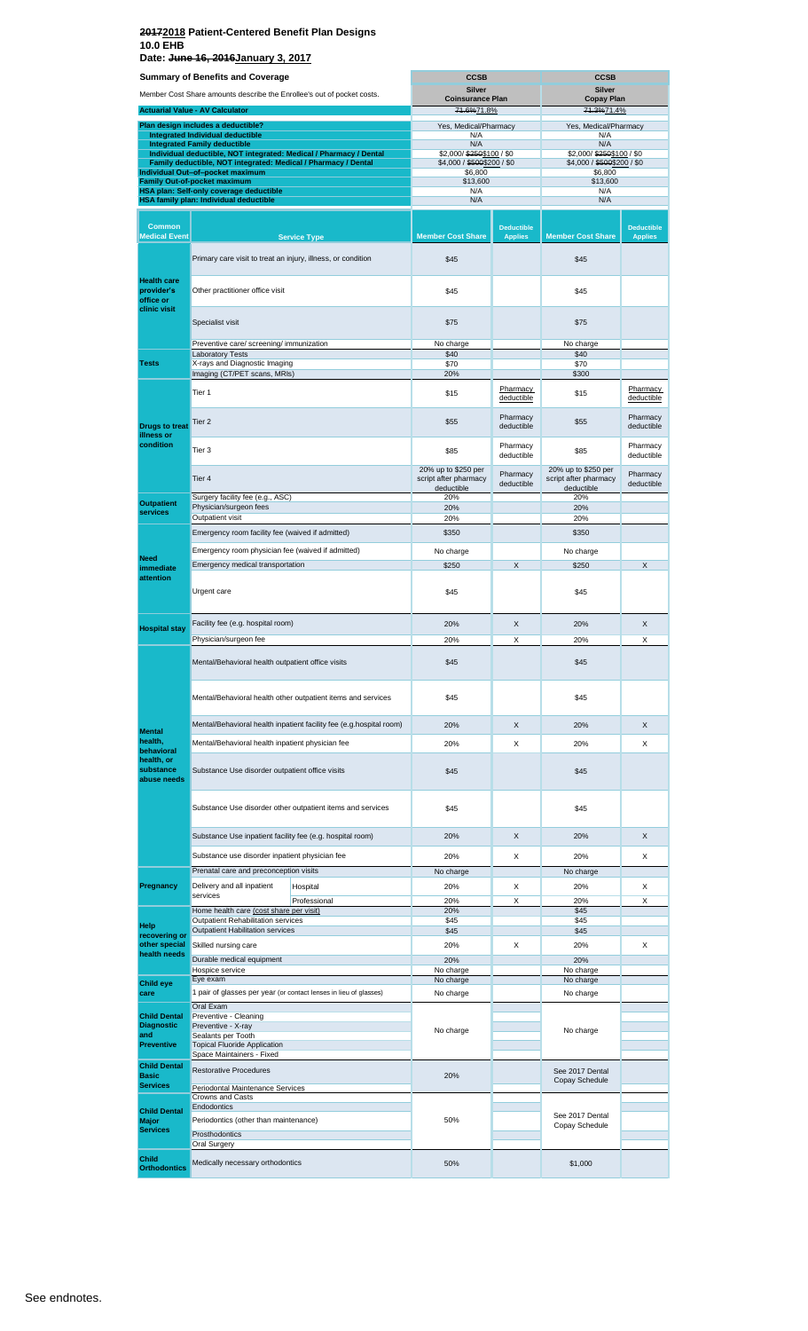**Date: June 16, 2016January 3, 2017**

| <b>Summary of Benefits and Coverage</b>              |                                                                                | <b>CCSB</b><br><b>CCSB</b>                                          |                                                            |                                     |                                                            |                                     |  |
|------------------------------------------------------|--------------------------------------------------------------------------------|---------------------------------------------------------------------|------------------------------------------------------------|-------------------------------------|------------------------------------------------------------|-------------------------------------|--|
|                                                      | Member Cost Share amounts describe the Enrollee's out of pocket costs.         |                                                                     | <b>Silver</b><br><b>Coinsurance Plan</b>                   |                                     | <b>Silver</b><br><b>Copay Plan</b>                         |                                     |  |
|                                                      | <b>Actuarial Value - AV Calculator</b>                                         |                                                                     | 71.6%71.8%                                                 |                                     |                                                            | 71.3%71.4%                          |  |
|                                                      | Plan design includes a deductible?                                             |                                                                     | Yes, Medical/Pharmacy                                      |                                     | Yes, Medical/Pharmacy                                      |                                     |  |
|                                                      | <b>Integrated Individual deductible</b><br><b>Integrated Family deductible</b> |                                                                     | N/A<br>N/A                                                 |                                     | N/A<br>N/A                                                 |                                     |  |
|                                                      | Family deductible, NOT integrated: Medical / Pharmacy / Dental                 | Individual deductible, NOT integrated: Medical / Pharmacy / Dental  | \$2,000/\$250\$100 / \$0<br>\$4,000 / \$500\$200 / \$0     |                                     | \$2,000/\$250\$100 / \$0<br>\$4,000 / \$500\$200 / \$0     |                                     |  |
|                                                      | Individual Out-of-pocket maximum                                               |                                                                     | \$6,800                                                    |                                     | \$6,800                                                    |                                     |  |
|                                                      | <b>Family Out-of-pocket maximum</b><br>HSA plan: Self-only coverage deductible |                                                                     | \$13,600<br>N/A                                            |                                     | \$13,600<br>N/A                                            |                                     |  |
|                                                      | HSA family plan: Individual deductible                                         |                                                                     | N/A                                                        |                                     | N/A                                                        |                                     |  |
| <b>Common</b><br><b>Medical Event</b>                |                                                                                | <b>Service Type</b>                                                 | <b>Member Cost Share</b>                                   | <b>Deductible</b><br><b>Applies</b> | <b>Member Cost Share</b>                                   | <b>Deductible</b><br><b>Applies</b> |  |
|                                                      | Primary care visit to treat an injury, illness, or condition                   |                                                                     | \$45                                                       |                                     | \$45                                                       |                                     |  |
| <b>Health care</b><br>provider's<br>office or        | Other practitioner office visit                                                |                                                                     | \$45                                                       |                                     | \$45                                                       |                                     |  |
| clinic visit                                         | Specialist visit                                                               |                                                                     | \$75                                                       |                                     | \$75                                                       |                                     |  |
|                                                      | Preventive care/ screening/ immunization                                       |                                                                     | No charge                                                  |                                     | No charge                                                  |                                     |  |
| <b>Tests</b>                                         | <b>Laboratory Tests</b><br>X-rays and Diagnostic Imaging                       |                                                                     | \$40<br>\$70                                               |                                     | \$40<br>\$70                                               |                                     |  |
|                                                      | Imaging (CT/PET scans, MRIs)                                                   |                                                                     | 20%                                                        |                                     | \$300                                                      |                                     |  |
|                                                      | Tier <sub>1</sub>                                                              |                                                                     | \$15                                                       | Pharmacy<br>deductible              | \$15                                                       | Pharmacy<br>deductible              |  |
| <b>Drugs to treat</b><br>illness or                  | Tier 2                                                                         |                                                                     | \$55                                                       | Pharmacy<br>deductible              | \$55                                                       | Pharmacy<br>deductible              |  |
| condition                                            | Tier 3                                                                         |                                                                     | \$85                                                       | Pharmacy<br>deductible              | \$85                                                       | Pharmacy<br>deductible              |  |
|                                                      | Tier 4                                                                         |                                                                     | 20% up to \$250 per<br>script after pharmacy<br>deductible | Pharmacy<br>deductible              | 20% up to \$250 per<br>script after pharmacy<br>deductible | Pharmacy<br>deductible              |  |
| <b>Outpatient</b>                                    | Surgery facility fee (e.g., ASC)<br>Physician/surgeon fees                     |                                                                     | 20%<br>20%                                                 |                                     | 20%<br>20%                                                 |                                     |  |
| services                                             | Outpatient visit                                                               |                                                                     | 20%                                                        |                                     | 20%                                                        |                                     |  |
|                                                      | Emergency room facility fee (waived if admitted)                               |                                                                     | \$350                                                      |                                     | \$350                                                      |                                     |  |
|                                                      | Emergency room physician fee (waived if admitted)                              |                                                                     | No charge                                                  |                                     | No charge                                                  |                                     |  |
| <b>Need</b><br>immediate                             | Emergency medical transportation                                               |                                                                     | \$250                                                      | X                                   | \$250                                                      | X                                   |  |
| attention                                            | Urgent care                                                                    |                                                                     | \$45                                                       |                                     | \$45                                                       |                                     |  |
|                                                      | Facility fee (e.g. hospital room)                                              |                                                                     | 20%                                                        | X                                   | 20%                                                        | X                                   |  |
| <b>Hospital stay</b>                                 | Physician/surgeon fee                                                          |                                                                     | 20%                                                        | X                                   | 20%                                                        | X                                   |  |
|                                                      | Mental/Behavioral health outpatient office visits                              |                                                                     | \$45                                                       |                                     | \$45                                                       |                                     |  |
|                                                      | Mental/Behavioral health other outpatient items and services                   | \$45                                                                |                                                            | \$45                                |                                                            |                                     |  |
|                                                      |                                                                                | Mental/Behavioral health inpatient facility fee (e.g.hospital room) | 20%                                                        | X                                   | 20%                                                        | X                                   |  |
| <b>Mental</b><br>health,                             | Mental/Behavioral health inpatient physician fee                               |                                                                     | 20%                                                        | X                                   | 20%                                                        | X                                   |  |
| behavioral<br>health, or<br>substance<br>abuse needs | Substance Use disorder outpatient office visits                                |                                                                     | \$45                                                       |                                     | \$45                                                       |                                     |  |
|                                                      |                                                                                | Substance Use disorder other outpatient items and services          | \$45                                                       |                                     | \$45                                                       |                                     |  |
|                                                      | Substance Use inpatient facility fee (e.g. hospital room)                      |                                                                     | 20%                                                        | $\times$                            | 20%                                                        | X                                   |  |
|                                                      | Substance use disorder inpatient physician fee                                 |                                                                     | 20%                                                        | Х                                   | 20%                                                        | X                                   |  |
|                                                      | Prenatal care and preconception visits                                         |                                                                     | No charge                                                  |                                     | No charge                                                  |                                     |  |
| Pregnancy                                            | Delivery and all inpatient<br>services                                         | Hospital                                                            | 20%                                                        | X                                   | 20%                                                        | X                                   |  |
|                                                      | Home health care (cost share per visit)                                        | Professional                                                        | 20%<br>20%                                                 | X                                   | 20%<br>\$45                                                | Χ                                   |  |
| Help                                                 | Outpatient Rehabilitation services                                             |                                                                     | \$45                                                       |                                     | \$45                                                       |                                     |  |
| recovering or                                        | <b>Outpatient Habilitation services</b>                                        |                                                                     | \$45                                                       |                                     | \$45                                                       |                                     |  |
| other special<br>health needs                        | Skilled nursing care                                                           |                                                                     | 20%                                                        | Х                                   | 20%                                                        | X                                   |  |
|                                                      | Durable medical equipment<br>Hospice service                                   |                                                                     | 20%<br>No charge                                           |                                     | 20%<br>No charge                                           |                                     |  |
| <b>Child eye</b>                                     | Eye exam                                                                       |                                                                     | No charge                                                  |                                     | No charge                                                  |                                     |  |
| care                                                 |                                                                                | 1 pair of glasses per year (or contact lenses in lieu of glasses)   | No charge                                                  |                                     | No charge                                                  |                                     |  |
| <b>Child Dental</b>                                  | Oral Exam<br>Preventive - Cleaning                                             |                                                                     |                                                            |                                     |                                                            |                                     |  |
| <b>Diagnostic</b><br>and                             | Preventive - X-ray                                                             |                                                                     | No charge                                                  |                                     | No charge                                                  |                                     |  |
| <b>Preventive</b>                                    | Sealants per Tooth<br><b>Topical Fluoride Application</b>                      |                                                                     |                                                            |                                     |                                                            |                                     |  |
| <b>Child Dental</b>                                  | Space Maintainers - Fixed                                                      |                                                                     |                                                            |                                     |                                                            |                                     |  |
| <b>Basic</b>                                         | <b>Restorative Procedures</b>                                                  |                                                                     | 20%                                                        |                                     | See 2017 Dental<br>Copay Schedule                          |                                     |  |
| <b>Services</b>                                      | Periodontal Maintenance Services<br><b>Crowns and Casts</b>                    |                                                                     |                                                            |                                     |                                                            |                                     |  |
| <b>Child Dental</b>                                  | Endodontics                                                                    |                                                                     |                                                            |                                     |                                                            |                                     |  |
| <b>Major</b>                                         | Periodontics (other than maintenance)                                          |                                                                     | 50%                                                        |                                     | See 2017 Dental<br>Copay Schedule                          |                                     |  |
| <b>Services</b>                                      | Prosthodontics                                                                 |                                                                     |                                                            |                                     |                                                            |                                     |  |
| <b>Child</b>                                         | Oral Surgery                                                                   |                                                                     |                                                            |                                     |                                                            |                                     |  |
| <b>Orthodontics</b>                                  | Medically necessary orthodontics                                               |                                                                     | 50%                                                        |                                     | \$1,000                                                    |                                     |  |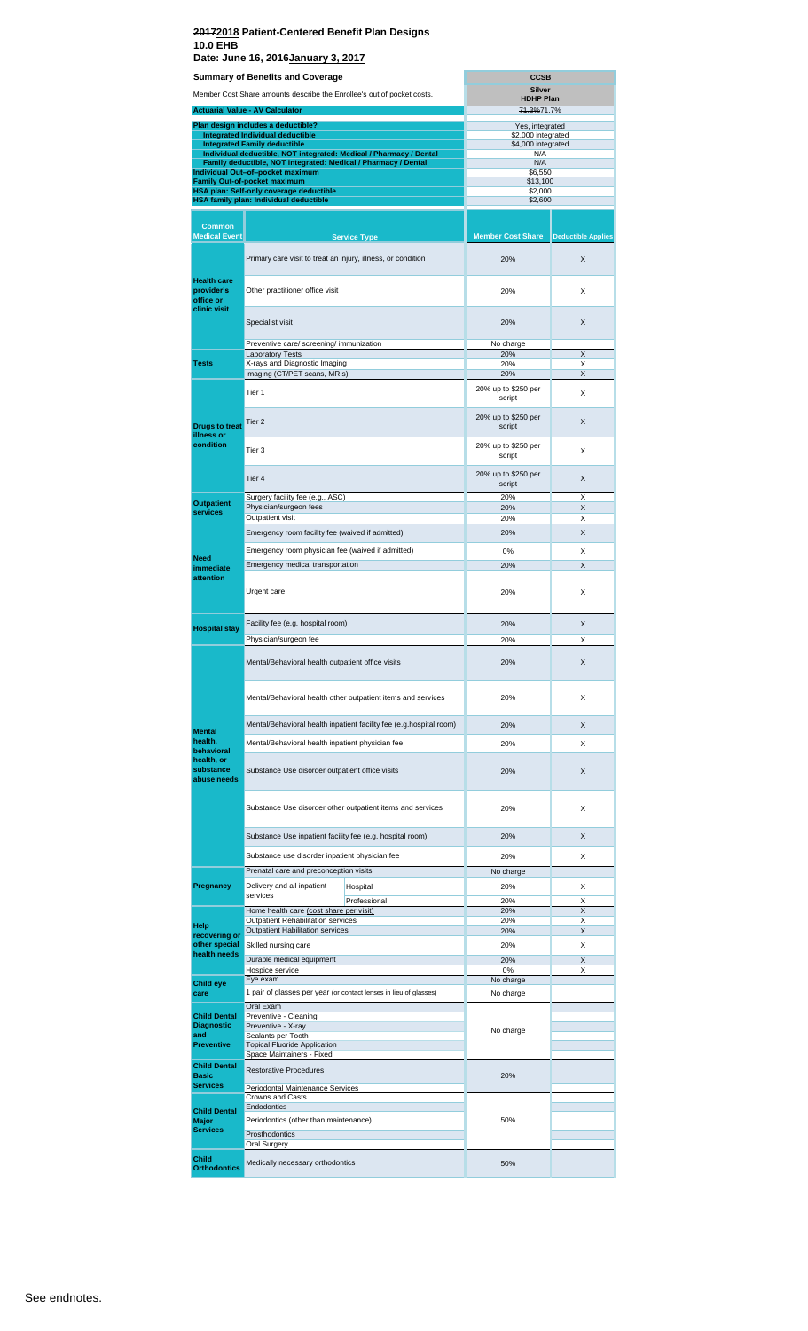**Date: June 16, 2016January 3, 2017**

|                                               | <b>Summary of Benefits and Coverage</b>                                                                   | <b>CCSB</b>  |                               |                           |  |  |
|-----------------------------------------------|-----------------------------------------------------------------------------------------------------------|--------------|-------------------------------|---------------------------|--|--|
|                                               | Member Cost Share amounts describe the Enrollee's out of pocket costs.                                    |              | Silver<br><b>HDHP Plan</b>    |                           |  |  |
|                                               | <b>Actuarial Value - AV Calculator</b>                                                                    |              | 71.3%71.7%                    |                           |  |  |
|                                               | Plan design includes a deductible?                                                                        |              | Yes, integrated               |                           |  |  |
|                                               | Integrated Individual deductible                                                                          |              | \$2,000 integrated            |                           |  |  |
|                                               | <b>Integrated Family deductible</b><br>Individual deductible, NOT integrated: Medical / Pharmacy / Dental |              | \$4,000 integrated<br>N/A     |                           |  |  |
|                                               | Family deductible, NOT integrated: Medical / Pharmacy / Dental                                            |              | N/A                           |                           |  |  |
|                                               | Individual Out-of-pocket maximum<br>Family Out-of-pocket maximum                                          |              | \$6,550<br>\$13,100           |                           |  |  |
|                                               | HSA plan: Self-only coverage deductible                                                                   |              | \$2,000                       |                           |  |  |
|                                               | HSA family plan: Individual deductible                                                                    |              | \$2,600                       |                           |  |  |
| <b>Common</b>                                 |                                                                                                           |              |                               |                           |  |  |
| <b>Medical Event</b>                          | <b>Service Type</b>                                                                                       |              | <b>Member Cost Share</b>      | <b>Deductible Applies</b> |  |  |
|                                               |                                                                                                           |              |                               |                           |  |  |
|                                               | Primary care visit to treat an injury, illness, or condition                                              |              | 20%                           | X                         |  |  |
| <b>Health care</b><br>provider's<br>office or | Other practitioner office visit                                                                           |              | 20%                           | X                         |  |  |
| clinic visit                                  | Specialist visit                                                                                          |              | 20%                           | X                         |  |  |
|                                               | Preventive care/ screening/ immunization                                                                  |              | No charge                     |                           |  |  |
| <b>Tests</b>                                  | <b>Laboratory Tests</b><br>X-rays and Diagnostic Imaging                                                  |              | 20%<br>20%                    | X<br>X                    |  |  |
|                                               | Imaging (CT/PET scans, MRIs)                                                                              |              | 20%                           | X                         |  |  |
|                                               | Tier 1                                                                                                    |              | 20% up to \$250 per<br>script | X                         |  |  |
|                                               | Tier <sub>2</sub>                                                                                         |              | 20% up to \$250 per           | X                         |  |  |
| <b>Drugs to treat</b><br>illness or           |                                                                                                           |              | script                        |                           |  |  |
| condition                                     | Tier 3                                                                                                    |              | 20% up to \$250 per<br>script | X                         |  |  |
|                                               | Tier 4                                                                                                    |              | 20% up to \$250 per<br>script | X                         |  |  |
| <b>Outpatient</b>                             | Surgery facility fee (e.g., ASC)                                                                          |              | 20%                           | X                         |  |  |
| services                                      | Physician/surgeon fees<br>Outpatient visit                                                                |              | 20%<br>20%                    | X<br>X                    |  |  |
|                                               | Emergency room facility fee (waived if admitted)                                                          |              | 20%                           | X                         |  |  |
|                                               |                                                                                                           |              |                               |                           |  |  |
| <b>Need</b>                                   | Emergency room physician fee (waived if admitted)                                                         |              | 0%                            | X                         |  |  |
| immediate                                     | Emergency medical transportation                                                                          |              | 20%                           | X                         |  |  |
| attention                                     | Urgent care                                                                                               |              | 20%                           | X                         |  |  |
|                                               | Facility fee (e.g. hospital room)                                                                         |              | 20%                           | X                         |  |  |
| <b>Hospital stay</b>                          | Physician/surgeon fee                                                                                     |              | 20%                           | X                         |  |  |
|                                               | Mental/Behavioral health outpatient office visits                                                         |              | 20%                           | Χ                         |  |  |
|                                               | Mental/Behavioral health other outpatient items and services                                              |              | 20%                           | X                         |  |  |
|                                               |                                                                                                           |              | 20%                           | X                         |  |  |
| <b>Mental</b>                                 | Mental/Behavioral health inpatient facility fee (e.g.hospital room)                                       |              |                               |                           |  |  |
| health,<br>behavioral                         | Mental/Behavioral health inpatient physician fee                                                          |              | 20%                           | X                         |  |  |
| health, or<br>substance<br>abuse needs        | Substance Use disorder outpatient office visits                                                           |              | 20%                           | X                         |  |  |
|                                               | Substance Use disorder other outpatient items and services                                                |              | 20%                           | X                         |  |  |
|                                               | Substance Use inpatient facility fee (e.g. hospital room)                                                 |              | 20%                           | X                         |  |  |
|                                               | Substance use disorder inpatient physician fee                                                            |              | 20%                           | X                         |  |  |
|                                               | Prenatal care and preconception visits                                                                    |              | No charge                     |                           |  |  |
| Pregnancy                                     | Delivery and all inpatient<br>Hospital                                                                    |              | 20%                           | х                         |  |  |
|                                               | services                                                                                                  | Professional | 20%                           | X                         |  |  |
|                                               | Home health care (cost share per visit)                                                                   |              | 20%                           | X                         |  |  |
| Help                                          | Outpatient Rehabilitation services<br>Outpatient Habilitation services                                    |              | 20%<br>20%                    | Х<br>X                    |  |  |
| recovering or<br>other special                | Skilled nursing care                                                                                      |              | 20%                           | Х                         |  |  |
| health needs                                  | Durable medical equipment                                                                                 |              | 20%                           | X                         |  |  |
|                                               | Hospice service                                                                                           |              | 0%                            | X                         |  |  |
| Child eye                                     | Eye exam                                                                                                  |              | No charge                     |                           |  |  |
| care                                          | 1 pair of glasses per year (or contact lenses in lieu of glasses)<br>Oral Exam                            |              | No charge                     |                           |  |  |
| <b>Child Dental</b>                           | Preventive - Cleaning                                                                                     |              |                               |                           |  |  |
| <b>Diagnostic</b><br>and                      | Preventive - X-ray<br>Sealants per Tooth                                                                  |              | No charge                     |                           |  |  |
| <b>Preventive</b>                             | <b>Topical Fluoride Application</b>                                                                       |              |                               |                           |  |  |
| Space Maintainers - Fixed                     |                                                                                                           |              |                               |                           |  |  |
| <b>Child Dental</b><br><b>Basic</b>           | <b>Restorative Procedures</b>                                                                             |              | 20%                           |                           |  |  |
| <b>Services</b>                               | Periodontal Maintenance Services                                                                          |              |                               |                           |  |  |
|                                               | Crowns and Casts                                                                                          |              |                               |                           |  |  |
| <b>Child Dental</b>                           | Endodontics                                                                                               |              | 50%                           |                           |  |  |
| Major<br><b>Services</b>                      | Periodontics (other than maintenance)<br>Prosthodontics                                                   |              |                               |                           |  |  |
|                                               | Oral Surgery                                                                                              |              |                               |                           |  |  |
| <b>Child</b><br><b>Orthodontics</b>           | Medically necessary orthodontics                                                                          |              | 50%                           |                           |  |  |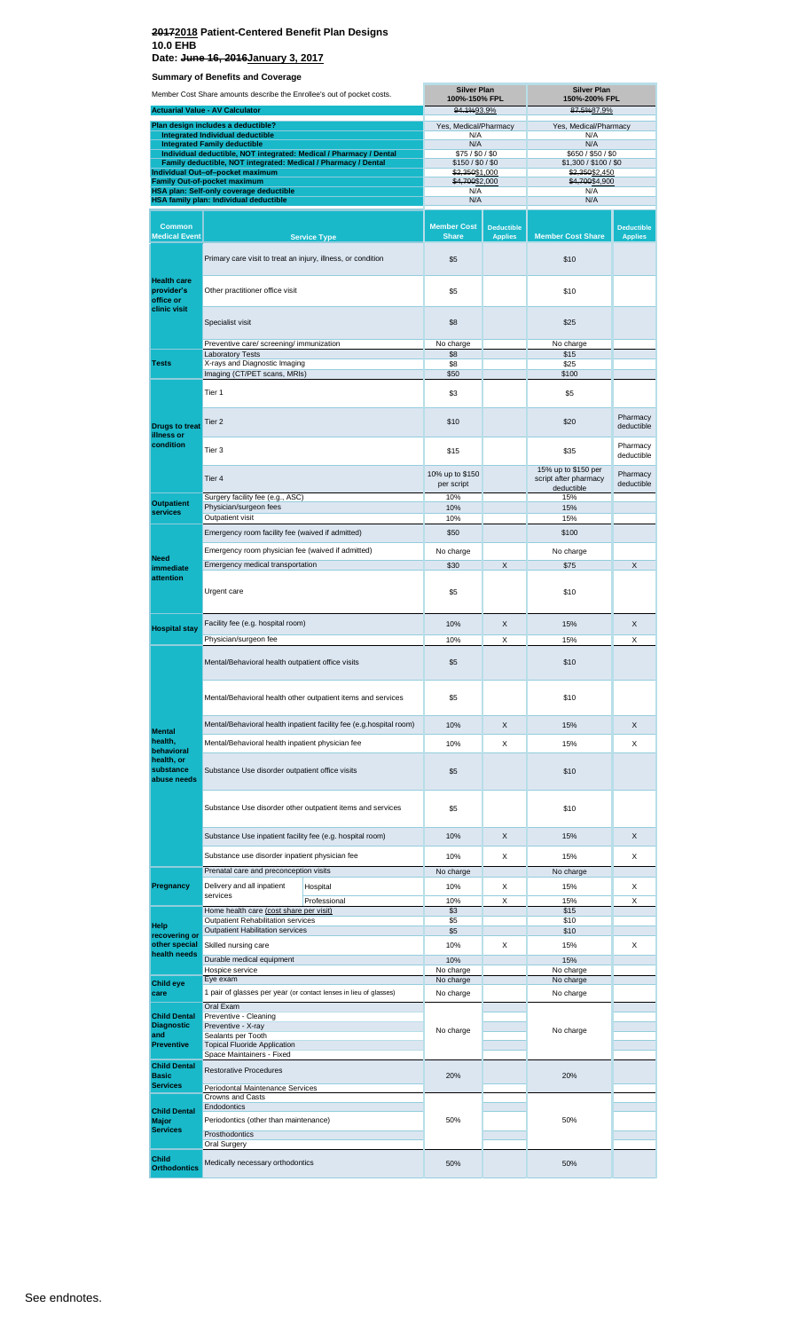**Date: June 16, 2016January 3, 2017**

**Summary of Benefits and Coverage Trange - AV Calculation Common Medical Event** Laboratory Tests Hospital Professional **Child Orthod Plan design includes a deductible? Integrated Individual deductible Hospital stay** Tier 1 **Tests** Tier 2 **Individual deductible, NOT integrated: Medical / Pharmacy / Dental Family deductible, NOT integrated: Medical / Pharmacy / Dental Integrated Family deductible** Surgery facility fee (e.g., ASC) Physician/surgeon fees **Need immediate attention** Emergency room facility fee (waived if admitted) Emergency medical transportation Urgent care **Help recovering or other special health needs** X-rays and Diagnostic Imaging<br>Imaging (CT/PET scans, MRIs) Member Cost Share amounts describe the Enrollee's out of pocket costs. Home health care (cost share per visit) **Individual Out–of–pocket maximum Family Out-of-pocket maximum**  Prenatal care and preconception visits Restorative Procedures **Outpatient Habilitation services Health care provider's office or clinic visit Pregnancy** Medically necessary orthodontics Primary care visit to treat an injury, illness, or condition Specialist visit **Preventive care/ screening/ immunization**<br>Laboratory Tests **Service Type Outpatient Outpatient visit** Outpatient Rehabilitation services **Child Dental Major Services** Crowns and Casts Endodontics Periodontics (other than maintenance) Prosthodontics Oral Surgery Other practitioner office visit Tier 3 Tier 4 Facility fee (e.g. hospital room) Physician/surgeon fee Delivery and all inpatient services Mental/Behavioral health other outpatient items and services Substance Use disorder other outpatient items and services Emergency room physician fee (waived if admitted) **Child eye care Drugs to treat illness or condition** Skilled nursing care Mental/Behavioral health inpatient facility fee (e.g.hospital room) Substance Use inpatient facility fee (e.g. hospital room) **Child Dental Diagnostic and Preventive** Oral Exam Preventive - Cleaning Preventive - X-ray Sealants per Tooth Topical Fluoride Application Space Maintainers - Fixed ge de **Iy plan: Individual de** Durable medical equipment Hospice service<br>Eye exam Mental/Behavioral health inpatient physician fee Substance Use disorder outpatient office visits Substance use disorder inpatient physician fee **Mental health, behavioral lth**, or **substance abuse needs** Mental/Behavioral health outpatient office visits 1 pair of glasses per year (or contact lenses in lieu of glasses) **Child Dental Basic Services** Periodontal Maintenance Services **Member Cost Share Deductible Applies Member Cost Share Deductible Applies \$5** \$10 \$5 \$10 \$8 \$25 No charge **No charge** No charge \$8 \$25 **\$50** \$100  $$3$  \$5 \$10 \$20 Pharmacy **\$20** Pharmacy  $$15$  Pharmacy  $$35$  Pharmacy deductible 10% up to \$150 per script 15% up to \$150 per script after pharmacy deductible Pharmacy deductible 10% 15% 10% 15% 10% 15% \$50 \$100 No charge **No charge** No charge \$30 X \$75 X  $$5$  \$10 10% X 15% X 10% X 15% X  $$5$   $$10$ \$5 \$10 10% X 15% X 10% X 15% X \$5 \$10  $$5$  \$10 10% X 15% X 10% X 15% X No charge No charge 10% X 15% X 10% X 15% X \$3 \$15<br>\$5 \$10<br>\$5 \$10 \$5 \$10  $\frac{$10}{$10}$ 10% X 15% X 10% 15% No charge **No charge** No charge No charge No charge No charge No charge No charge No charge **No charge** No charge 50% 50% 20% 20% N/A N/A \$2,350<u>\$2,450</u><br>\$4,700<u>\$4,900</u> N/A N/A **Silver Plan 150%-200% FPL Silver Plan 100%-150% FPL** N/A N/A<br>N/A N/A N/A \$75 / \$0 / \$0 \$150 / \$0 / \$0  $N/A$ <br> $N/A$ \$650 / \$50 / \$0 \$1,300 / \$100 / \$0 \$2,350\$1,000 \$4,700\$2,000 94.1%93.9% 87.5%87.9% Yes, Medical/Pharmacy Yes, Medical/Pharmacy No charge **No charge** No charge 50% 50%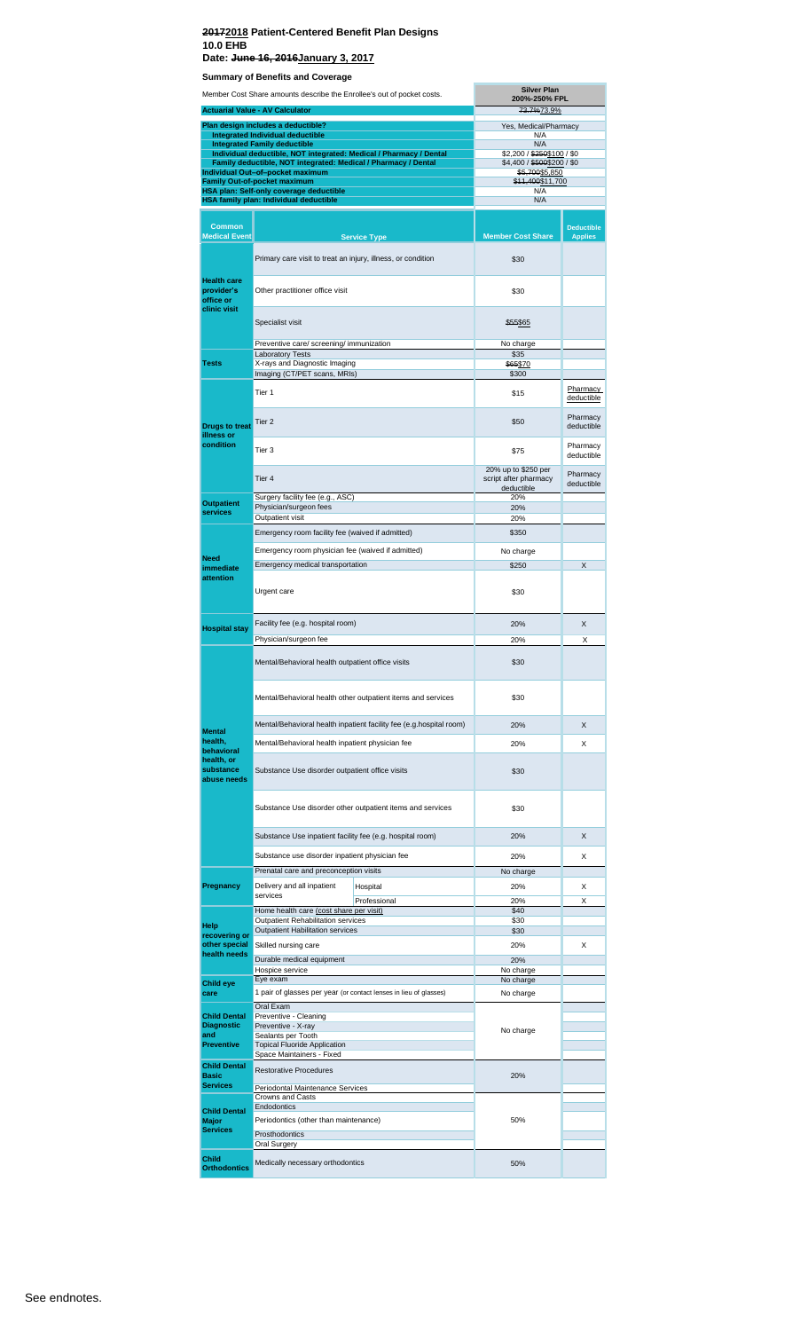#### **20172018 Patient-Centered Benefit Plan Designs 10.0 EHB Date: June 16, 2016January 3, 2017**

|                                                               | Member Cost Share amounts describe the Enrollee's out of pocket costs.                                                               | <b>Silver Plan</b><br>200%-250% FPL                                 |                                                            |                                     |  |  |
|---------------------------------------------------------------|--------------------------------------------------------------------------------------------------------------------------------------|---------------------------------------------------------------------|------------------------------------------------------------|-------------------------------------|--|--|
|                                                               | <b>Actuarial Value - AV Calculator</b>                                                                                               |                                                                     |                                                            | 73.7%73.9%                          |  |  |
|                                                               | Plan design includes a deductible?                                                                                                   |                                                                     | Yes, Medical/Pharmacy                                      |                                     |  |  |
|                                                               | Integrated Individual deductible<br><b>Integrated Family deductible</b>                                                              |                                                                     | N/A<br>N/A                                                 |                                     |  |  |
|                                                               | Individual deductible, NOT integrated: Medical / Pharmacy / Dental<br>Family deductible, NOT integrated: Medical / Pharmacy / Dental |                                                                     | \$2,200 / \$250\$100 / \$0<br>\$4,400 / \$500\$200 / \$0   |                                     |  |  |
|                                                               | Individual Out-of-pocket maximum                                                                                                     |                                                                     | \$5,700\$5,850                                             |                                     |  |  |
|                                                               | <b>Family Out-of-pocket maximum</b><br>HSA plan: Self-only coverage deductible                                                       |                                                                     | \$11,400\$11,700<br>N/A                                    |                                     |  |  |
|                                                               | HSA family plan: Individual deductible                                                                                               |                                                                     | N/A                                                        |                                     |  |  |
|                                                               |                                                                                                                                      |                                                                     |                                                            |                                     |  |  |
| <b>Common</b><br><b>Medical Event</b>                         |                                                                                                                                      | <b>Service Type</b>                                                 | <b>Member Cost Share</b>                                   | <b>Deductible</b><br><b>Applies</b> |  |  |
|                                                               | Primary care visit to treat an injury, illness, or condition                                                                         |                                                                     | \$30                                                       |                                     |  |  |
| <b>Health care</b><br>provider's<br>office or<br>clinic visit | Other practitioner office visit                                                                                                      |                                                                     | \$30                                                       |                                     |  |  |
|                                                               | Specialist visit                                                                                                                     |                                                                     | <del>\$55</del> \$65                                       |                                     |  |  |
|                                                               | Preventive care/ screening/ immunization<br><b>Laboratory Tests</b>                                                                  |                                                                     | No charge<br>\$35                                          |                                     |  |  |
| <b>Tests</b>                                                  | X-rays and Diagnostic Imaging                                                                                                        |                                                                     | \$65\$70                                                   |                                     |  |  |
|                                                               | Imaging (CT/PET scans, MRIs)                                                                                                         |                                                                     | \$300                                                      |                                     |  |  |
|                                                               | Tier 1                                                                                                                               |                                                                     | \$15                                                       | Pharmacy<br>deductible              |  |  |
| <b>Drugs to treat</b><br>illness or                           | Tier 2                                                                                                                               |                                                                     | \$50                                                       | Pharmacy<br>deductible              |  |  |
| condition                                                     | Tier 3                                                                                                                               |                                                                     | \$75                                                       | Pharmacy<br>deductible              |  |  |
|                                                               | Tier 4                                                                                                                               |                                                                     | 20% up to \$250 per<br>script after pharmacy<br>deductible | Pharmacy<br>deductible              |  |  |
| <b>Outpatient</b>                                             | Surgery facility fee (e.g., ASC)<br>Physician/surgeon fees                                                                           |                                                                     | 20%<br>20%                                                 |                                     |  |  |
| <b>services</b>                                               | Outpatient visit                                                                                                                     |                                                                     | 20%                                                        |                                     |  |  |
|                                                               | Emergency room facility fee (waived if admitted)                                                                                     |                                                                     | \$350                                                      |                                     |  |  |
|                                                               | Emergency room physician fee (waived if admitted)                                                                                    |                                                                     | No charge                                                  |                                     |  |  |
| <b>Need</b><br>immediate                                      | Emergency medical transportation                                                                                                     |                                                                     | \$250                                                      | X                                   |  |  |
| attention                                                     | Urgent care                                                                                                                          |                                                                     | \$30                                                       |                                     |  |  |
|                                                               |                                                                                                                                      |                                                                     |                                                            |                                     |  |  |
| <b>Hospital stay</b>                                          | Facility fee (e.g. hospital room)                                                                                                    |                                                                     | 20%                                                        | X                                   |  |  |
|                                                               | Physician/surgeon fee                                                                                                                |                                                                     | 20%                                                        | X                                   |  |  |
|                                                               | Mental/Behavioral health outpatient office visits                                                                                    |                                                                     | \$30                                                       |                                     |  |  |
|                                                               | Mental/Behavioral health other outpatient items and services                                                                         | \$30                                                                |                                                            |                                     |  |  |
| <b>Mental</b>                                                 |                                                                                                                                      | Mental/Behavioral health inpatient facility fee (e.g.hospital room) | 20%                                                        | X                                   |  |  |
| health,                                                       | Mental/Behavioral health inpatient physician fee                                                                                     |                                                                     | 20%                                                        | х                                   |  |  |
| behavioral<br>health, or                                      |                                                                                                                                      |                                                                     |                                                            |                                     |  |  |
| substance<br>abuse needs                                      | Substance Use disorder outpatient office visits                                                                                      | \$30                                                                |                                                            |                                     |  |  |
|                                                               |                                                                                                                                      | Substance Use disorder other outpatient items and services          | \$30                                                       |                                     |  |  |
|                                                               | Substance Use inpatient facility fee (e.g. hospital room)                                                                            |                                                                     | 20%                                                        | X                                   |  |  |
|                                                               | Substance use disorder inpatient physician fee                                                                                       |                                                                     | 20%                                                        | X                                   |  |  |
|                                                               | Prenatal care and preconception visits                                                                                               |                                                                     | No charge                                                  |                                     |  |  |
| Pregnancy                                                     | Delivery and all inpatient                                                                                                           | Hospital                                                            | 20%                                                        | X                                   |  |  |
|                                                               | services                                                                                                                             | Professional                                                        | 20%                                                        | Χ                                   |  |  |
|                                                               | Home health care (cost share per visit)<br>Outpatient Rehabilitation services                                                        |                                                                     | \$40<br>\$30                                               |                                     |  |  |
| Help<br>recovering or                                         | Outpatient Habilitation services                                                                                                     |                                                                     | \$30                                                       |                                     |  |  |
| other special                                                 | Skilled nursing care                                                                                                                 |                                                                     | 20%                                                        | X                                   |  |  |
| health needs                                                  | Durable medical equipment                                                                                                            |                                                                     | 20%                                                        |                                     |  |  |
|                                                               | Hospice service<br>Eye exam                                                                                                          |                                                                     | No charge<br>No charge                                     |                                     |  |  |
| <b>Child eye</b><br>care                                      |                                                                                                                                      | 1 pair of glasses per year (or contact lenses in lieu of glasses)   | No charge                                                  |                                     |  |  |
|                                                               | Oral Exam                                                                                                                            |                                                                     |                                                            |                                     |  |  |
| <b>Child Dental</b><br><b>Diagnostic</b>                      | Preventive - Cleaning<br>Preventive - X-ray                                                                                          |                                                                     |                                                            |                                     |  |  |
| and                                                           | Sealants per Tooth                                                                                                                   |                                                                     | No charge                                                  |                                     |  |  |
| <b>Preventive</b>                                             | <b>Topical Fluoride Application</b><br>Space Maintainers - Fixed                                                                     |                                                                     |                                                            |                                     |  |  |
| <b>Child Dental</b><br><b>Basic</b>                           | <b>Restorative Procedures</b>                                                                                                        |                                                                     | 20%                                                        |                                     |  |  |
| <b>Services</b>                                               | Periodontal Maintenance Services<br>Crowns and Casts                                                                                 |                                                                     |                                                            |                                     |  |  |
| <b>Child Dental</b>                                           | Endodontics                                                                                                                          |                                                                     |                                                            |                                     |  |  |
| <b>Major</b>                                                  | Periodontics (other than maintenance)                                                                                                |                                                                     | 50%                                                        |                                     |  |  |
| <b>Services</b>                                               | Prosthodontics                                                                                                                       |                                                                     |                                                            |                                     |  |  |
|                                                               | Oral Surgery                                                                                                                         |                                                                     |                                                            |                                     |  |  |
| <b>Child</b><br><b>Orthodontics</b>                           | Medically necessary orthodontics                                                                                                     | 50%                                                                 |                                                            |                                     |  |  |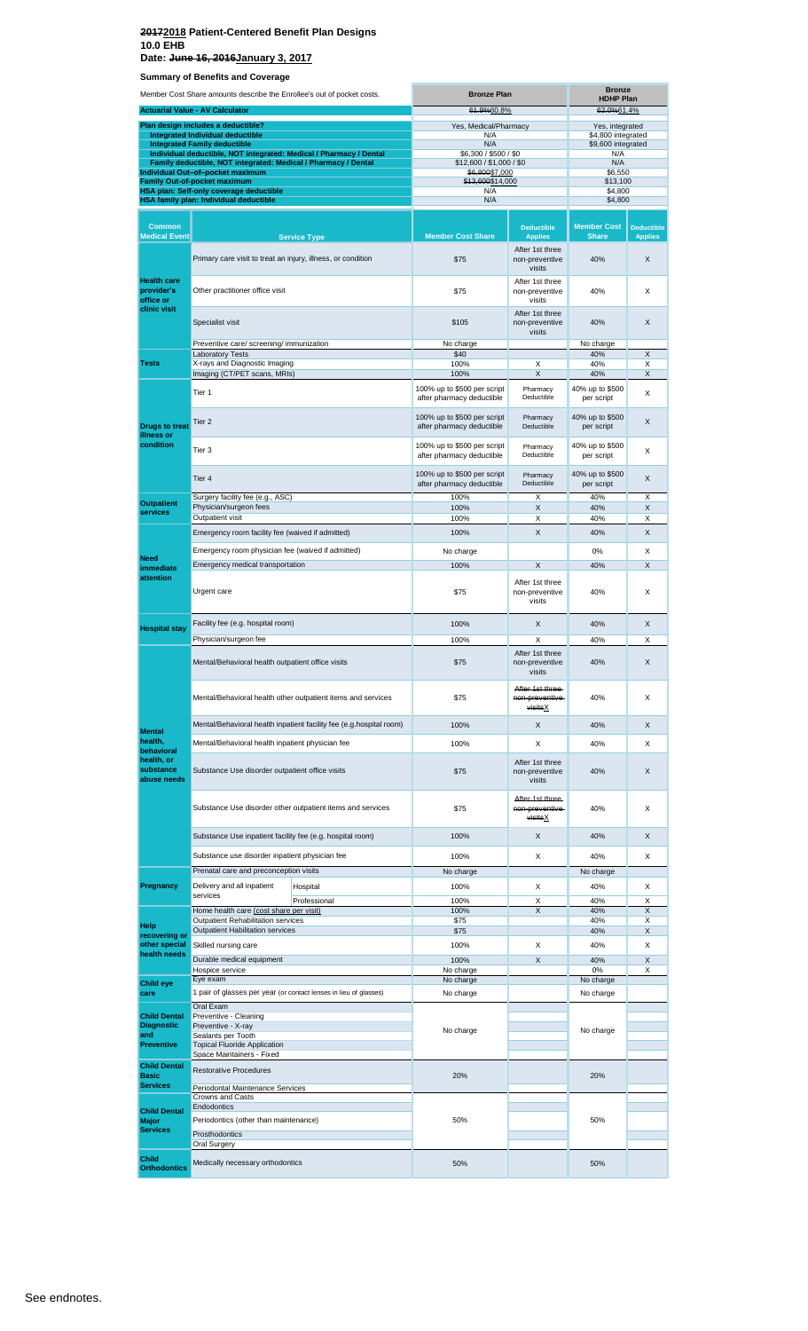**Date: June 16, 2016January 3, 2017**

| Member Cost Share amounts describe the Enrollee's out of pocket costs. |                                                                                                                                      | <b>Bronze Plan</b>                                                  |                                                          | <b>Bronze</b><br><b>HDHP Plan</b>                                                                                                                                                                                                                             |                                       |                                     |
|------------------------------------------------------------------------|--------------------------------------------------------------------------------------------------------------------------------------|---------------------------------------------------------------------|----------------------------------------------------------|---------------------------------------------------------------------------------------------------------------------------------------------------------------------------------------------------------------------------------------------------------------|---------------------------------------|-------------------------------------|
|                                                                        | <b>Actuarial Value - AV Calculator</b>                                                                                               |                                                                     | 61.9%60.8%                                               |                                                                                                                                                                                                                                                               | 62.0%61.4%                            |                                     |
|                                                                        | Plan design includes a deductible?<br>Integrated Individual deductible                                                               |                                                                     | Yes, Medical/Pharmacy<br>N/A                             |                                                                                                                                                                                                                                                               | Yes, integrated<br>\$4,800 integrated |                                     |
|                                                                        | <b>Integrated Family deductible</b>                                                                                                  |                                                                     | N/A                                                      |                                                                                                                                                                                                                                                               | \$9,600 integrated                    |                                     |
|                                                                        | Individual deductible, NOT integrated: Medical / Pharmacy / Dental<br>Family deductible, NOT integrated: Medical / Pharmacy / Dental |                                                                     | \$6,300 / \$500 / \$0<br>\$12,600 / \$1,000 / \$0        |                                                                                                                                                                                                                                                               | N/A<br>N/A                            |                                     |
|                                                                        | Individual Out-of-pocket maximum<br><b>Family Out-of-pocket maximum</b>                                                              |                                                                     | \$6,800\$7,000<br>\$13,600\$14,000                       |                                                                                                                                                                                                                                                               | \$6,550<br>\$13,100                   |                                     |
|                                                                        | HSA plan: Self-only coverage deductible<br>HSA family plan: Individual deductible                                                    |                                                                     | N/A<br>N/A                                               |                                                                                                                                                                                                                                                               | \$4,800<br>\$4,800                    |                                     |
|                                                                        |                                                                                                                                      |                                                                     |                                                          |                                                                                                                                                                                                                                                               |                                       |                                     |
| <b>Common</b><br><b>Medical Event</b>                                  |                                                                                                                                      | <b>Service Type</b>                                                 | <b>Member Cost Share</b>                                 | <b>Deductible</b><br><b>Applies</b>                                                                                                                                                                                                                           | <b>Member Cost</b><br><b>Share</b>    | <b>Deductible</b><br><b>Applies</b> |
|                                                                        | Primary care visit to treat an injury, illness, or condition                                                                         |                                                                     | \$75                                                     | After 1st three<br>non-preventive<br>visits                                                                                                                                                                                                                   | 40%                                   | X                                   |
| <b>Health care</b><br>provider's<br>office or                          | Other practitioner office visit                                                                                                      |                                                                     | \$75                                                     | After 1st three<br>non-preventive<br>visits                                                                                                                                                                                                                   | 40%                                   | X                                   |
| clinic visit                                                           | Specialist visit                                                                                                                     |                                                                     | \$105                                                    | After 1st three<br>non-preventive<br>visits                                                                                                                                                                                                                   | 40%                                   | X                                   |
|                                                                        | Preventive care/ screening/ immunization<br><b>Laboratory Tests</b>                                                                  |                                                                     | No charge<br>\$40                                        |                                                                                                                                                                                                                                                               | No charge                             | X                                   |
| <b>Tests</b>                                                           | X-rays and Diagnostic Imaging                                                                                                        |                                                                     | 100%                                                     | X                                                                                                                                                                                                                                                             | 40%                                   | X                                   |
|                                                                        | Imaging (CT/PET scans, MRIs)                                                                                                         |                                                                     | 100%<br>100% up to \$500 per script                      |                                                                                                                                                                                                                                                               |                                       | X                                   |
|                                                                        | Tier 1                                                                                                                               |                                                                     | after pharmacy deductible                                | Deductible                                                                                                                                                                                                                                                    | per script                            | X                                   |
| <b>Drugs to treat</b><br>illness or                                    | Tier <sub>2</sub>                                                                                                                    |                                                                     | 100% up to \$500 per script<br>after pharmacy deductible | Deductible                                                                                                                                                                                                                                                    | 40% up to \$500<br>per script         | X                                   |
| condition                                                              | Tier 3                                                                                                                               |                                                                     | 100% up to \$500 per script<br>after pharmacy deductible | Deductible                                                                                                                                                                                                                                                    | 40% up to \$500<br>per script         | X                                   |
|                                                                        | Tier <sub>4</sub>                                                                                                                    |                                                                     | 100% up to \$500 per script<br>after pharmacy deductible | Pharmacy<br>Deductible                                                                                                                                                                                                                                        | 40% up to \$500<br>per script         | X                                   |
| <b>Outpatient</b><br>services                                          | Surgery facility fee (e.g., ASC)<br>Physician/surgeon fees                                                                           |                                                                     | 100%<br>100%                                             | X                                                                                                                                                                                                                                                             | 40%                                   | X<br>X                              |
|                                                                        | Outpatient visit                                                                                                                     |                                                                     | 100%                                                     | X                                                                                                                                                                                                                                                             | 40%                                   | X                                   |
|                                                                        | Emergency room facility fee (waived if admitted)                                                                                     |                                                                     | 100%                                                     | X                                                                                                                                                                                                                                                             | 40%                                   | X                                   |
| Need                                                                   | Emergency room physician fee (waived if admitted)                                                                                    |                                                                     | No charge                                                |                                                                                                                                                                                                                                                               | 0%                                    | X                                   |
| immediate                                                              | Emergency medical transportation                                                                                                     |                                                                     | 100%                                                     | X                                                                                                                                                                                                                                                             | 40%                                   | X                                   |
| attention                                                              | Urgent care                                                                                                                          |                                                                     | \$75                                                     | After 1st three<br>non-preventive<br>visits                                                                                                                                                                                                                   | 40%                                   | X                                   |
| <b>Hospital stay</b>                                                   | Facility fee (e.g. hospital room)                                                                                                    |                                                                     | 100%                                                     | X                                                                                                                                                                                                                                                             | 40%                                   | X                                   |
|                                                                        | Physician/surgeon fee<br>Mental/Behavioral health outpatient office visits                                                           |                                                                     | 100%<br>\$75                                             | After 1st three<br>non-preventive                                                                                                                                                                                                                             | 40%                                   | X<br>X                              |
|                                                                        |                                                                                                                                      | Mental/Behavioral health other outpatient items and services        | \$75                                                     | After 1st three-<br>non-preventive-                                                                                                                                                                                                                           | 40%                                   | X                                   |
|                                                                        |                                                                                                                                      | Mental/Behavioral health inpatient facility fee (e.g.hospital room) | 100%                                                     | X                                                                                                                                                                                                                                                             | 40%                                   | X                                   |
| <b>Mental</b><br>health,                                               | Mental/Behavioral health inpatient physician fee                                                                                     |                                                                     | 100%                                                     |                                                                                                                                                                                                                                                               |                                       | X                                   |
| behavioral<br>health, or<br>substance<br>abuse needs                   | Substance Use disorder outpatient office visits                                                                                      |                                                                     | \$75                                                     | After 1st three<br>non-preventive<br>visits                                                                                                                                                                                                                   | 40%                                   | X                                   |
|                                                                        |                                                                                                                                      | Substance Use disorder other outpatient items and services          | \$75                                                     | After 1st three-<br>non-preventive-<br>visitsX                                                                                                                                                                                                                | 40%                                   | X                                   |
|                                                                        | Substance Use inpatient facility fee (e.g. hospital room)                                                                            |                                                                     | 100%                                                     | X                                                                                                                                                                                                                                                             | 40%                                   | X                                   |
|                                                                        | Substance use disorder inpatient physician fee                                                                                       |                                                                     | 100%                                                     | 40%<br>X<br>40%<br>40% up to \$500<br>Pharmacy<br>Pharmacy<br>Pharmacy<br>Χ<br>40%<br>Х<br>40%<br>visits<br>visitsX<br>Χ<br>40%<br>X<br>40%<br>Χ<br>40%<br>Χ<br>40%<br>X<br>40%<br>40%<br>40%<br>Χ<br>40%<br>X<br>40%<br>0%<br>No charge<br>20%<br>50%<br>50% |                                       | X                                   |
|                                                                        | Prenatal care and preconception visits                                                                                               |                                                                     | No charge                                                |                                                                                                                                                                                                                                                               | No charge                             |                                     |
| Pregnancy                                                              | Delivery and all inpatient<br>services                                                                                               | Hospital                                                            | 100%                                                     |                                                                                                                                                                                                                                                               |                                       | X                                   |
|                                                                        | Home health care (cost share per visit)                                                                                              | Professional                                                        | 100%<br>100%                                             |                                                                                                                                                                                                                                                               |                                       | X<br>X                              |
| Help                                                                   | Outpatient Rehabilitation services                                                                                                   |                                                                     | \$75                                                     |                                                                                                                                                                                                                                                               |                                       | Х                                   |
| recovering or<br>other special                                         | Outpatient Habilitation services<br>Skilled nursing care                                                                             |                                                                     | \$75<br>100%                                             |                                                                                                                                                                                                                                                               |                                       | X<br>Х                              |
| health needs                                                           | Durable medical equipment                                                                                                            |                                                                     | 100%                                                     |                                                                                                                                                                                                                                                               |                                       | X                                   |
|                                                                        | Hospice service                                                                                                                      |                                                                     | No charge                                                |                                                                                                                                                                                                                                                               |                                       | X                                   |
| <b>Child eye</b><br>care                                               | Eye exam<br>1 pair of glasses per year (or contact lenses in lieu of glasses)                                                        |                                                                     | No charge<br>No charge                                   |                                                                                                                                                                                                                                                               | No charge                             |                                     |
|                                                                        | Oral Exam                                                                                                                            |                                                                     |                                                          |                                                                                                                                                                                                                                                               |                                       |                                     |
| <b>Child Dental</b><br><b>Diagnostic</b><br>and                        | Preventive - Cleaning<br>Preventive - X-ray<br>Sealants per Tooth                                                                    |                                                                     | No charge                                                |                                                                                                                                                                                                                                                               | No charge                             |                                     |
| Preventive                                                             | <b>Topical Fluoride Application</b>                                                                                                  |                                                                     |                                                          |                                                                                                                                                                                                                                                               |                                       |                                     |
| <b>Child Dental</b>                                                    | Space Maintainers - Fixed<br><b>Restorative Procedures</b>                                                                           |                                                                     |                                                          |                                                                                                                                                                                                                                                               |                                       |                                     |
| <b>Basic</b><br><b>Services</b>                                        | Periodontal Maintenance Services                                                                                                     |                                                                     | 20%                                                      |                                                                                                                                                                                                                                                               |                                       |                                     |
|                                                                        | <b>Crowns and Casts</b><br><b>Endodontics</b>                                                                                        |                                                                     |                                                          |                                                                                                                                                                                                                                                               |                                       |                                     |
| <b>Child Dental</b><br><b>Major</b><br>Services                        | Periodontics (other than maintenance)<br>Prosthodontics                                                                              |                                                                     | 50%                                                      |                                                                                                                                                                                                                                                               |                                       |                                     |
|                                                                        | <b>Oral Surgery</b>                                                                                                                  |                                                                     |                                                          |                                                                                                                                                                                                                                                               |                                       |                                     |
| <b>Child</b><br><b>Orthodontics</b>                                    | Medically necessary orthodontics                                                                                                     |                                                                     | 50%                                                      |                                                                                                                                                                                                                                                               |                                       |                                     |